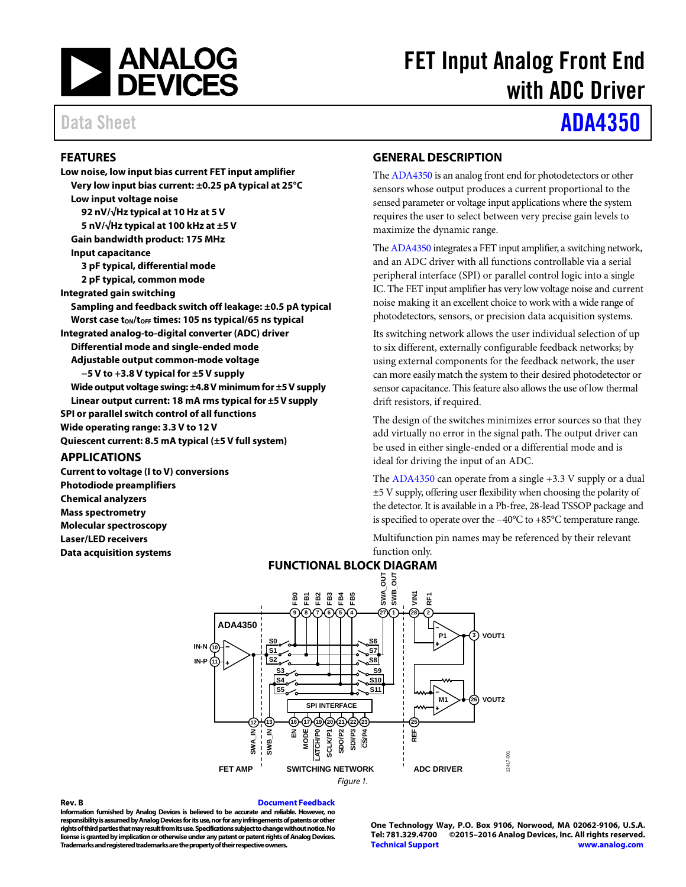

# FET Input Analog Front End with ADC Driver

# Data Sheet **[ADA4350](http://www.analog.com/ADA4350?doc=ADA4350.PDF)**

### <span id="page-0-0"></span>**FEATURES**

**Low noise, low input bias current FET input amplifier Very low input bias current: ±0.25 pA typical at 25°C Low input voltage noise 92 nV/√Hz typical at 10 Hz at 5 V 5 nV/√Hz typical at 100 kHz at ±5 V Gain bandwidth product: 175 MHz Input capacitance 3 pF typical, differential mode 2 pF typical, common mode Integrated gain switching Sampling and feedback switch off leakage: ±0.5 pA typical Worst case tON/tOFF times: 105 ns typical/65 ns typical Integrated analog-to-digital converter (ADC) driver Differential mode and single-ended mode Adjustable output common-mode voltage −5 V to +3.8 V typical for ±5 V supply Wide output voltage swing: ±4.8V minimum for ±5 V supply Linear output current: 18 mA rms typical for ±5V supply SPI or parallel switch control of all functions Wide operating range: 3.3 V to 12 V Quiescent current: 8.5 mA typical (±5 V full system)**

#### <span id="page-0-1"></span>**APPLICATIONS**

<span id="page-0-3"></span>**Current to voltage (I to V) conversions Photodiode preamplifiers Chemical analyzers Mass spectrometry Molecular spectroscopy Laser/LED receivers Data acquisition systems**

#### <span id="page-0-2"></span>**GENERAL DESCRIPTION**

Th[e ADA4350](http://www.analog.com/ADA4350?doc=ADA4350.PDF) is an analog front end for photodetectors or other sensors whose output produces a current proportional to the sensed parameter or voltage input applications where the system requires the user to select between very precise gain levels to maximize the dynamic range.

Th[e ADA4350](http://www.analog.com/ADA4350?doc=ADA4350.PDF) integrates a FET input amplifier, a switching network, and an ADC driver with all functions controllable via a serial peripheral interface (SPI) or parallel control logic into a single IC. The FET input amplifier has very low voltage noise and current noise making it an excellent choice to work with a wide range of photodetectors, sensors, or precision data acquisition systems.

Its switching network allows the user individual selection of up to six different, externally configurable feedback networks; by using external components for the feedback network, the user can more easily match the system to their desired photodetector or sensor capacitance. This feature also allows the use of low thermal drift resistors, if required.

The design of the switches minimizes error sources so that they add virtually no error in the signal path. The output driver can be used in either single-ended or a differential mode and is ideal for driving the input of an ADC.

The [ADA4350](http://www.analog.com/ADA4350?doc=ADA4350.PDF) can operate from a single +3.3 V supply or a dual ±5 V supply, offering user flexibility when choosing the polarity of the detector. It is available in a Pb-free, 28-lead TSSOP package and is specified to operate over the −40°C to +85°C temperature range.

Multifunction pin names may be referenced by their relevant function only.



#### <span id="page-0-4"></span>**Rev. B [Document Feedback](https://form.analog.com/Form_Pages/feedback/documentfeedback.aspx?doc=ADA4350.pdf&product=ADA4350&rev=B)**

**Information furnished by Analog Devices is believed to be accurate and reliable. However, no responsibility is assumed by Analog Devices for its use, nor for any infringements of patents or other rights of third parties that may result from its use. Specifications subject to change without notice. No license is granted by implication or otherwise under any patent or patent rights of Analog Devices. Trademarks and registered trademarks are the property of their respective owners.**

**One Technology Way, P.O. Box 9106, Norwood, MA 02062-9106, U.S.A. Tel: 781.329.4700 ©2015–2016 Analog Devices, Inc. All rights reserved. [Technical Support](http://www.analog.com/en/content/technical_support_page/fca.html) [www.analog.com](http://www.analog.com/)**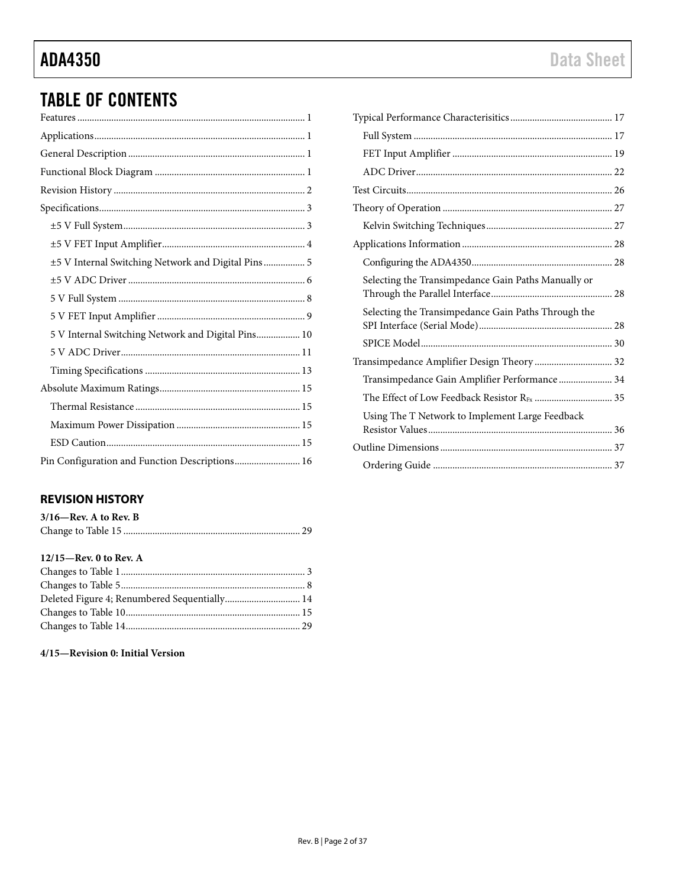# **ADA4350**

# **TABLE OF CONTENTS**

| ±5 V Internal Switching Network and Digital Pins  5 |
|-----------------------------------------------------|
|                                                     |
|                                                     |
|                                                     |
| 5 V Internal Switching Network and Digital Pins 10  |
|                                                     |
|                                                     |
|                                                     |
|                                                     |
|                                                     |
|                                                     |
| Pin Configuration and Function Descriptions 16      |

### <span id="page-1-0"></span>**REVISION HISTORY**

| $3/16$ —Rev. A to Rev. B |  |
|--------------------------|--|
|                          |  |

### $12/15$ –Rev. 0 to Rev. A

| Deleted Figure 4; Renumbered Sequentially 14 |  |
|----------------------------------------------|--|
|                                              |  |
|                                              |  |

#### 4/15-Revision 0: Initial Version

| Selecting the Transimpedance Gain Paths Manually or |  |
|-----------------------------------------------------|--|
| Selecting the Transimpedance Gain Paths Through the |  |
|                                                     |  |
| Transimpedance Amplifier Design Theory 32           |  |
| Transimpedance Gain Amplifier Performance 34        |  |
|                                                     |  |
| Using The T Network to Implement Large Feedback     |  |
|                                                     |  |
|                                                     |  |
|                                                     |  |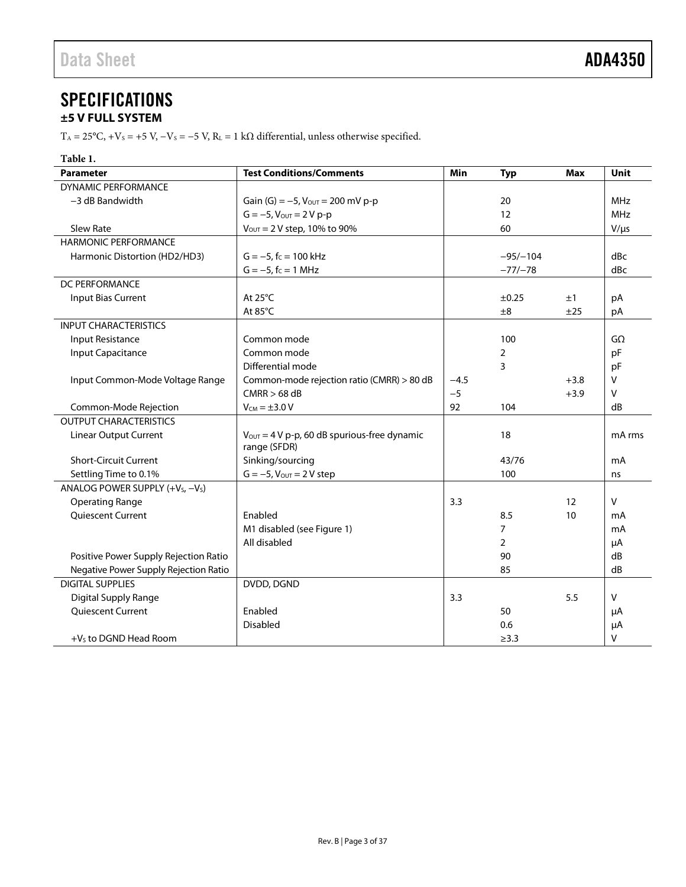# <span id="page-2-0"></span>**SPECIFICATIONS**

## <span id="page-2-1"></span>**±5 V FULL SYSTEM**

T<sub>A</sub> = 25°C, +V<sub>S</sub> = +5 V, -V<sub>S</sub> = -5 V, R<sub>L</sub> = 1 kΩ differential, unless otherwise specified.

| Table 1.                                                 |                                                                          |        |                |            |              |
|----------------------------------------------------------|--------------------------------------------------------------------------|--------|----------------|------------|--------------|
| <b>Parameter</b>                                         | <b>Test Conditions/Comments</b>                                          | Min    | Typ            | <b>Max</b> | Unit         |
| <b>DYNAMIC PERFORMANCE</b>                               |                                                                          |        |                |            |              |
| -3 dB Bandwidth                                          | Gain (G) = $-5$ , $V_{\text{OUT}}$ = 200 mV p-p                          |        | 20             |            | <b>MHz</b>   |
|                                                          | $G = -5$ , $V_{OUT} = 2 V p-p$                                           |        | 12             |            | <b>MHz</b>   |
| <b>Slew Rate</b>                                         | $V_{\text{OUT}} = 2 V$ step, 10% to 90%                                  |        | 60             |            | $V/\mu s$    |
| <b>HARMONIC PERFORMANCE</b>                              |                                                                          |        |                |            |              |
| Harmonic Distortion (HD2/HD3)                            | $G = -5$ , $f_C = 100$ kHz                                               |        | $-95/-104$     |            | dBc          |
|                                                          | $G = -5$ , $f_C = 1$ MHz                                                 |        | $-77/-78$      |            | dBc          |
| DC PERFORMANCE                                           |                                                                          |        |                |            |              |
| Input Bias Current                                       | At $25^{\circ}$ C                                                        |        | $\pm 0.25$     | ±1         | рA           |
|                                                          | At 85°C                                                                  |        | ±8             | ±25        | pA           |
| <b>INPUT CHARACTERISTICS</b>                             |                                                                          |        |                |            |              |
| Input Resistance                                         | Common mode                                                              |        | 100            |            | $G\Omega$    |
| Input Capacitance                                        | Common mode                                                              |        | 2              |            | pF           |
|                                                          | Differential mode                                                        |        | 3              |            | pF           |
| Input Common-Mode Voltage Range                          | Common-mode rejection ratio (CMRR) > 80 dB                               | $-4.5$ |                | $+3.8$     | v            |
|                                                          | $CMRR > 68$ dB                                                           | $-5$   |                | $+3.9$     | v            |
| Common-Mode Rejection                                    | $V_{CM} = \pm 3.0 V$                                                     | 92     | 104            |            | dB           |
| <b>OUTPUT CHARACTERISTICS</b>                            |                                                                          |        |                |            |              |
| <b>Linear Output Current</b>                             | $V_{\text{OUT}} = 4 V p-p$ , 60 dB spurious-free dynamic<br>range (SFDR) |        | 18             |            | mA rms       |
| <b>Short-Circuit Current</b>                             | Sinking/sourcing                                                         |        | 43/76          |            | mA           |
| Settling Time to 0.1%                                    | $G = -5$ , $V_{OUT} = 2 V$ step                                          |        | 100            |            | ns           |
| ANALOG POWER SUPPLY (+V <sub>S</sub> , -V <sub>S</sub> ) |                                                                          |        |                |            |              |
| <b>Operating Range</b>                                   |                                                                          | 3.3    |                | 12         | $\vee$       |
| <b>Oujescent Current</b>                                 | Enabled                                                                  |        | 8.5            | 10         | mA           |
|                                                          | M1 disabled (see Figure 1)                                               |        | $\overline{7}$ |            | mA           |
|                                                          | All disabled                                                             |        | $\overline{2}$ |            | μA           |
| Positive Power Supply Rejection Ratio                    |                                                                          |        | 90             |            | dB           |
| Negative Power Supply Rejection Ratio                    |                                                                          |        | 85             |            | dB           |
| <b>DIGITAL SUPPLIES</b>                                  | DVDD, DGND                                                               |        |                |            |              |
| Digital Supply Range                                     |                                                                          | 3.3    |                | 5.5        | $\mathsf{V}$ |
| <b>Quiescent Current</b>                                 | Enabled                                                                  |        | 50             |            | μA           |
|                                                          | <b>Disabled</b>                                                          |        | 0.6            |            | μA           |
| $+Vs$ to DGND Head Room                                  |                                                                          |        | $\geq$ 3.3     |            | V            |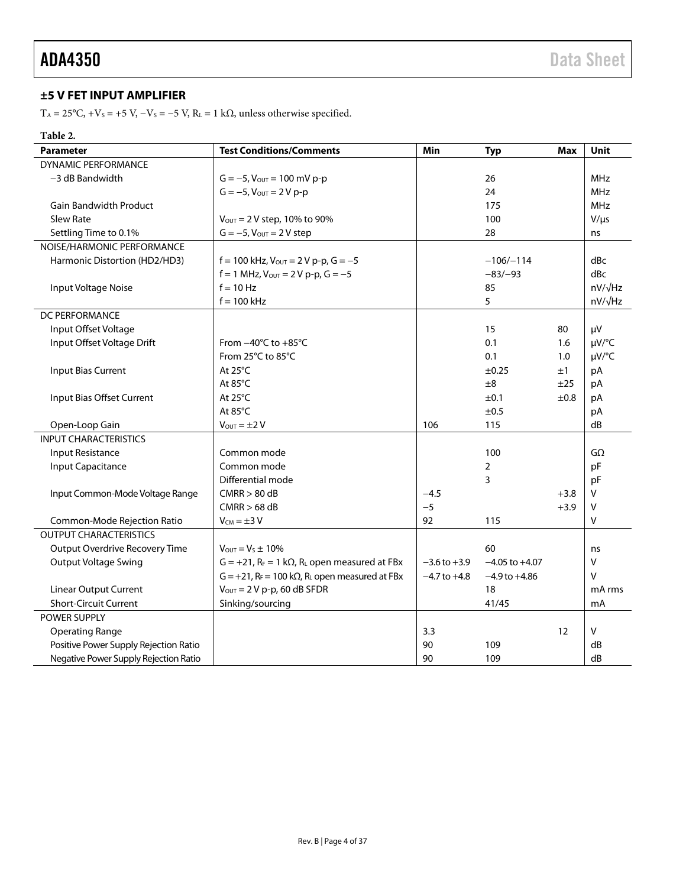## <span id="page-3-0"></span>**±5 V FET INPUT AMPLIFIER**

T<sub>A</sub> = 25°C, +V<sub>S</sub> = +5 V, -V<sub>S</sub> = -5 V, R<sub>L</sub> = 1 k $\Omega$ , unless otherwise specified.

#### **Table 2.**

| <b>Parameter</b>                      | <b>Test Conditions/Comments</b>                                                   | Min              | <b>Typ</b>         | <b>Max</b> | <b>Unit</b>    |
|---------------------------------------|-----------------------------------------------------------------------------------|------------------|--------------------|------------|----------------|
| <b>DYNAMIC PERFORMANCE</b>            |                                                                                   |                  |                    |            |                |
| -3 dB Bandwidth                       | $G = -5$ , $V_{\text{OUT}} = 100$ mV p-p                                          |                  | 26                 |            | <b>MHz</b>     |
|                                       | $G = -5$ , $V_{\text{OUT}} = 2 V p - p$                                           |                  | 24                 |            | <b>MHz</b>     |
| <b>Gain Bandwidth Product</b>         |                                                                                   |                  | 175                |            | <b>MHz</b>     |
| <b>Slew Rate</b>                      | $V_{\text{OUT}} = 2 V$ step, 10% to 90%                                           |                  | 100                |            | $V/\mu s$      |
| Settling Time to 0.1%                 | $G = -5$ , $V_{OUT} = 2V$ step                                                    |                  | 28                 |            | ns             |
| NOISE/HARMONIC PERFORMANCE            |                                                                                   |                  |                    |            |                |
| Harmonic Distortion (HD2/HD3)         | $f = 100$ kHz, $V_{\text{OUT}} = 2 V p-p$ , $G = -5$                              |                  | $-106/-114$        |            | dBc            |
|                                       | $f = 1$ MHz, $V_{OUT} = 2 V p-p$ , $G = -5$                                       |                  | $-83/-93$          |            | dBc            |
| Input Voltage Noise                   | $f = 10$ Hz                                                                       |                  | 85                 |            | $nV/\sqrt{Hz}$ |
|                                       | $f = 100$ kHz                                                                     |                  | 5                  |            | $nV/\sqrt{Hz}$ |
| DC PERFORMANCE                        |                                                                                   |                  |                    |            |                |
| Input Offset Voltage                  |                                                                                   |                  | 15                 | 80         | μV             |
| Input Offset Voltage Drift            | From $-40^{\circ}$ C to $+85^{\circ}$ C                                           |                  | 0.1                | 1.6        | µV/°C          |
|                                       | From 25°C to 85°C                                                                 |                  | 0.1                | 1.0        | µV/°C          |
| Input Bias Current                    | At 25°C                                                                           |                  | $\pm 0.25$         | ±1         | pA             |
|                                       | At 85°C                                                                           |                  | ±8                 | ±25        | pA             |
| Input Bias Offset Current             | At 25°C                                                                           |                  | ±0.1               | ±0.8       | pA             |
|                                       | At 85°C                                                                           |                  | ±0.5               |            | рA             |
| Open-Loop Gain                        | $V_{\text{OUT}} = \pm 2 V$                                                        | 106              | 115                |            | dB             |
| <b>INPUT CHARACTERISTICS</b>          |                                                                                   |                  |                    |            |                |
| <b>Input Resistance</b>               | Common mode                                                                       |                  | 100                |            | $G\Omega$      |
| <b>Input Capacitance</b>              | Common mode                                                                       |                  | $\overline{2}$     |            | pF             |
|                                       | Differential mode                                                                 |                  | 3                  |            | pF             |
| Input Common-Mode Voltage Range       | CMRR > 80 dB                                                                      | $-4.5$           |                    | $+3.8$     | V              |
|                                       | CMRR > 68 dB                                                                      | $-5$             |                    | $+3.9$     | V              |
| Common-Mode Rejection Ratio           | $V_{CM} = \pm 3 V$                                                                | 92               | 115                |            | V              |
| <b>OUTPUT CHARACTERISTICS</b>         |                                                                                   |                  |                    |            |                |
| Output Overdrive Recovery Time        | $V_{\text{OUT}} = V_s \pm 10\%$                                                   |                  | 60                 |            | ns             |
| <b>Output Voltage Swing</b>           | $G = +21$ , $R_F = 1$ k $\Omega$ , $R_L$ open measured at FBx                     | $-3.6$ to $+3.9$ | $-4.05$ to $+4.07$ |            | V              |
|                                       | $G = +21$ , R <sub>F</sub> = 100 k $\Omega$ , R <sub>L</sub> open measured at FBx | $-4.7$ to $+4.8$ | $-4.9$ to $+4.86$  |            | $\vee$         |
| <b>Linear Output Current</b>          | $V_{\text{OUT}} = 2 V p-p$ , 60 dB SFDR                                           |                  | 18                 |            | mA rms         |
| <b>Short-Circuit Current</b>          | Sinking/sourcing                                                                  |                  | 41/45              |            | mA             |
| <b>POWER SUPPLY</b>                   |                                                                                   |                  |                    |            |                |
| <b>Operating Range</b>                |                                                                                   | 3.3              |                    | 12         | V              |
| Positive Power Supply Rejection Ratio |                                                                                   | 90               | 109                |            | dB             |
| Negative Power Supply Rejection Ratio |                                                                                   | 90               | 109                |            | dB             |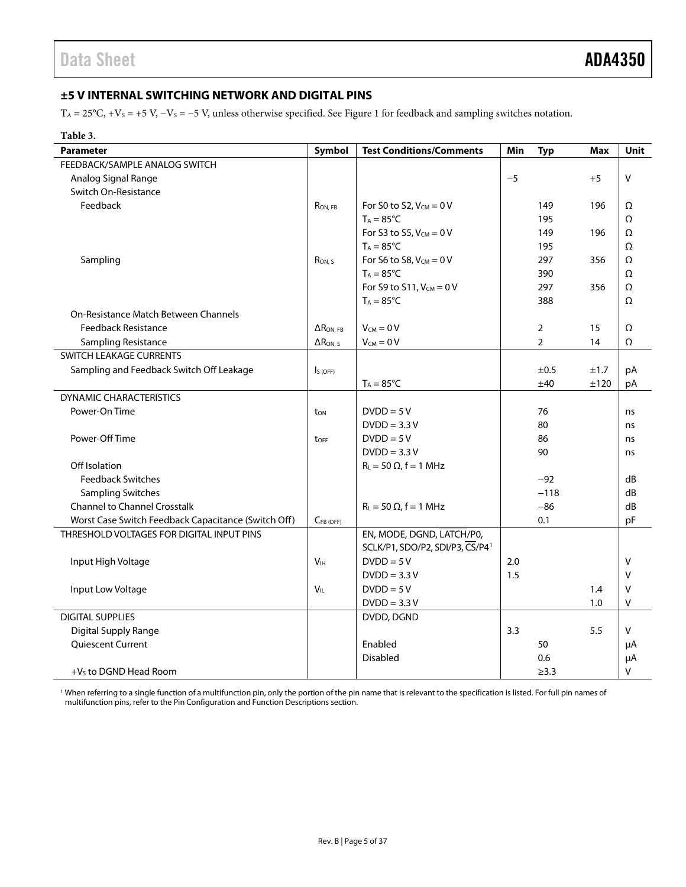### <span id="page-4-0"></span>**±5 V INTERNAL SWITCHING NETWORK AND DIGITAL PINS**

 $T_A = 25^{\circ}C$ , +Vs = +5 V, -Vs = -5 V, unless otherwise specified. See [Figure 1](#page-0-4) for feedback and sampling switches notation.

| Table 3.                                            |                   |                                             |      |                |            |        |
|-----------------------------------------------------|-------------------|---------------------------------------------|------|----------------|------------|--------|
| <b>Parameter</b>                                    | Symbol            | <b>Test Conditions/Comments</b>             | Min  | <b>Typ</b>     | <b>Max</b> | Unit   |
| FEEDBACK/SAMPLE ANALOG SWITCH                       |                   |                                             |      |                |            |        |
| Analog Signal Range                                 |                   |                                             | $-5$ |                | $+5$       | V      |
| Switch On-Resistance                                |                   |                                             |      |                |            |        |
| Feedback                                            | RON, FB           | For S0 to S2, $V_{CM} = 0 V$                |      | 149            | 196        | Ω      |
|                                                     |                   | $T_A = 85^{\circ}C$                         |      | 195            |            | Ω      |
|                                                     |                   | For S3 to S5, $V_{CM} = 0 V$                |      | 149            | 196        | Ω      |
|                                                     |                   | $T_A = 85^{\circ}C$                         |      | 195            |            | Ω      |
| Sampling                                            | RON <sub>S</sub>  | For S6 to S8. $V_{CM} = 0$ V                |      | 297            | 356        | Ω      |
|                                                     |                   | $T_A = 85^{\circ}C$                         |      | 390            |            | Ω      |
|                                                     |                   | For S9 to S11, $V_{CM} = 0 V$               |      | 297            | 356        | Ω      |
|                                                     |                   | $T_A = 85^{\circ}C$                         |      | 388            |            | Ω      |
| On-Resistance Match Between Channels                |                   |                                             |      |                |            |        |
| <b>Feedback Resistance</b>                          | $\Delta$ RON, FB  | $V_{CM} = 0 V$                              |      | $\overline{2}$ | 15         | Ω      |
| Sampling Resistance                                 | $\Delta R_{ON.S}$ | $V_{CM} = 0 V$                              |      | $\overline{2}$ | 14         | Ω      |
| SWITCH LEAKAGE CURRENTS                             |                   |                                             |      |                |            |        |
| Sampling and Feedback Switch Off Leakage            | $IS$ (OFF)        |                                             |      | ±0.5           | ±1.7       | pA     |
|                                                     |                   | $T_A = 85^{\circ}C$                         |      | ±40            | ±120       | pA     |
| <b>DYNAMIC CHARACTERISTICS</b>                      |                   |                                             |      |                |            |        |
| Power-On Time                                       | ton               | $DVDD = 5V$                                 |      | 76             |            | ns     |
|                                                     |                   | $DVDD = 3.3 V$                              |      | 80             |            | ns     |
| Power-Off Time                                      | toff              | $DVDD = 5V$                                 |      | 86             |            | ns     |
|                                                     |                   | $DVDD = 3.3 V$                              |      | 90             |            | ns     |
| Off Isolation                                       |                   | $R_L = 50 \Omega$ , f = 1 MHz               |      |                |            |        |
| <b>Feedback Switches</b>                            |                   |                                             |      | $-92$          |            | dB     |
| <b>Sampling Switches</b>                            |                   |                                             |      | $-118$         |            | dB     |
| <b>Channel to Channel Crosstalk</b>                 |                   | $R_L = 50 \Omega$ , f = 1 MHz               |      | $-86$          |            | dB     |
| Worst Case Switch Feedback Capacitance (Switch Off) | $C_{FB(OFF)}$     |                                             |      | 0.1            |            | pF     |
| THRESHOLD VOLTAGES FOR DIGITAL INPUT PINS           |                   | EN, MODE, DGND, LATCH/PO,                   |      |                |            |        |
|                                                     |                   | SCLK/P1, SDO/P2, SDI/P3, CS/P4 <sup>1</sup> |      |                |            |        |
| Input High Voltage                                  | V <sub>IH</sub>   | $DVDD = 5V$                                 | 2.0  |                |            | $\vee$ |
|                                                     |                   | $DVDD = 3.3 V$                              | 1.5  |                |            | $\vee$ |
| Input Low Voltage                                   | $V_{IL}$          | $DVDD = 5V$                                 |      |                | 1.4        | $\vee$ |
|                                                     |                   | $DVDD = 3.3 V$                              |      |                | 1.0        | v      |
| <b>DIGITAL SUPPLIES</b>                             |                   | DVDD, DGND                                  |      |                |            |        |
| Digital Supply Range                                |                   |                                             | 3.3  |                | 5.5        | V      |
| <b>Oujescent Current</b>                            |                   | Enabled                                     |      | 50             |            | μA     |
|                                                     |                   | Disabled                                    |      | 0.6            |            | μA     |
| +V <sub>s</sub> to DGND Head Room                   |                   |                                             |      | $\geq$ 3.3     |            | v      |

<sup>1</sup> When referring to a single function of a multifunction pin, only the portion of the pin name that is relevant to the specification is listed. For full pin names of multifunction pins, refer to th[e Pin Configuration and Function Descriptions](#page-15-0) section.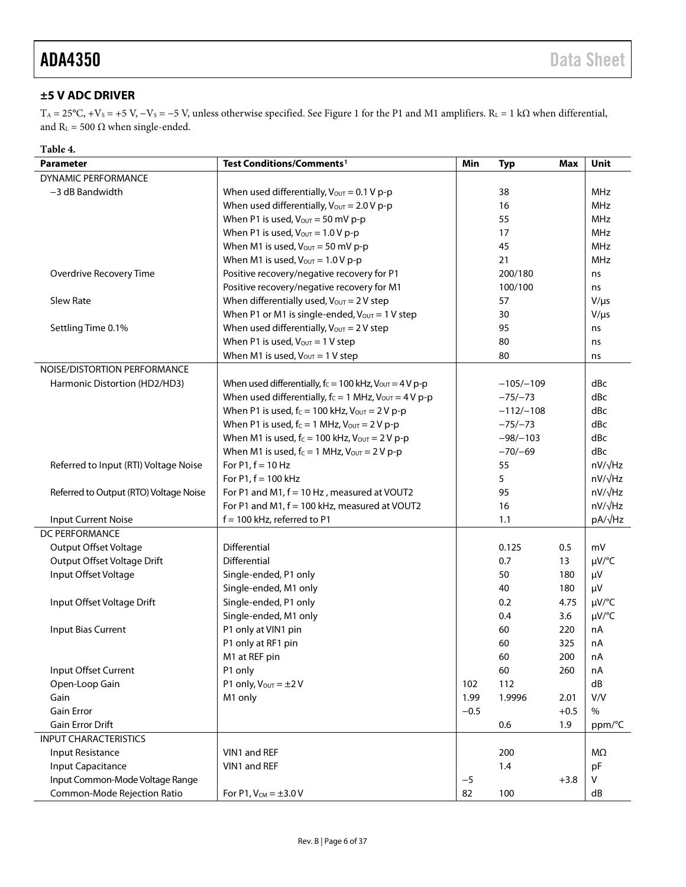### <span id="page-5-0"></span>**±5 V ADC DRIVER**

T<sub>A</sub> = 25°C, +V<sub>S</sub> = +5 V, -V<sub>S</sub> = -5 V, unless otherwise specified. See [Figure 1](#page-0-4) for the P1 and M1 amplifiers. R<sub>L</sub> = 1 k $\Omega$  when differential, and  $R_{\text{L}}$  = 500  $\Omega$  when single-ended.

| Table 4.                               |                                                                       |        |             |            |                |
|----------------------------------------|-----------------------------------------------------------------------|--------|-------------|------------|----------------|
| <b>Parameter</b>                       | <b>Test Conditions/Comments<sup>1</sup></b>                           | Min    | <b>Typ</b>  | <b>Max</b> | <b>Unit</b>    |
| DYNAMIC PERFORMANCE                    |                                                                       |        |             |            |                |
| -3 dB Bandwidth                        | When used differentially, $V_{\text{OUT}} = 0.1 V p-p$                |        | 38          |            | <b>MHz</b>     |
|                                        | When used differentially, $V_{\text{OUT}} = 2.0 V p-p$                |        | 16          |            | <b>MHz</b>     |
|                                        | When P1 is used, $V_{\text{OUT}} = 50$ mV p-p                         |        | 55          |            | <b>MHz</b>     |
|                                        | When P1 is used, $V_{OUT} = 1.0 V p-p$                                |        | 17          |            | <b>MHz</b>     |
|                                        | When M1 is used, $V_{\text{OUT}} = 50$ mV p-p                         |        | 45          |            | <b>MHz</b>     |
|                                        | When M1 is used, $V_{\text{OUT}} = 1.0 V p-p$                         |        | 21          |            | <b>MHz</b>     |
| Overdrive Recovery Time                | Positive recovery/negative recovery for P1                            |        | 200/180     |            | ns             |
|                                        | Positive recovery/negative recovery for M1                            |        | 100/100     |            | ns             |
| Slew Rate                              | When differentially used, $V_{\text{OUT}} = 2 V$ step                 |        | 57          |            | $V/\mu s$      |
|                                        | When P1 or M1 is single-ended, $V_{\text{OUT}} = 1$ V step            |        | 30          |            | $V/\mu s$      |
| Settling Time 0.1%                     | When used differentially, $V_{\text{OUT}} = 2 V$ step                 |        | 95          |            | ns             |
|                                        | When P1 is used, $V_{\text{OUT}} = 1$ V step                          |        | 80          |            | ns             |
|                                        | When M1 is used, $V_{\text{OUT}} = 1$ V step                          |        | 80          |            | ns             |
| NOISE/DISTORTION PERFORMANCE           |                                                                       |        |             |            |                |
| Harmonic Distortion (HD2/HD3)          | When used differentially, $f_c = 100$ kHz, $V_{\text{OUT}} = 4$ V p-p |        | $-105/-109$ |            | dBc            |
|                                        | When used differentially, $f_c = 1$ MHz, $V_{OUT} = 4 V p-p$          |        | $-75/-73$   |            | dBc            |
|                                        | When P1 is used, $f_c = 100$ kHz, $V_{OUT} = 2 V p-p$                 |        | $-112/-108$ |            | dBc            |
|                                        | When P1 is used, $f_c = 1$ MHz, $V_{OUT} = 2 V p-p$                   |        | $-75/-73$   |            | dBc            |
|                                        | When M1 is used, $f_c = 100$ kHz, $V_{\text{OUT}} = 2 V p - p$        |        | $-98/-103$  |            | dBc            |
|                                        | When M1 is used, $f_c = 1$ MHz, $V_{\text{OUT}} = 2 V p-p$            |        | $-70/-69$   |            | dBc            |
| Referred to Input (RTI) Voltage Noise  | For $P1, f = 10$ Hz                                                   |        | 55          |            | $nV/\sqrt{Hz}$ |
|                                        | For $P1, f = 100$ kHz                                                 |        | 5           |            | $nV/\sqrt{Hz}$ |
| Referred to Output (RTO) Voltage Noise | For P1 and M1, f = 10 Hz, measured at VOUT2                           |        | 95          |            | $nV/\sqrt{Hz}$ |
|                                        | For P1 and M1, f = 100 kHz, measured at VOUT2                         |        | 16          |            | $nV/\sqrt{Hz}$ |
| <b>Input Current Noise</b>             | $f = 100$ kHz, referred to P1                                         |        | 1.1         |            | pA/√Hz         |
| DC PERFORMANCE                         |                                                                       |        |             |            |                |
| <b>Output Offset Voltage</b>           | Differential                                                          |        | 0.125       | 0.5        | mV             |
| Output Offset Voltage Drift            | <b>Differential</b>                                                   |        | 0.7         | 13         | $\mu V$ /°C    |
| Input Offset Voltage                   | Single-ended, P1 only                                                 |        | 50          | 180        | μV             |
|                                        | Single-ended, M1 only                                                 |        | 40          | 180        | μV             |
| Input Offset Voltage Drift             | Single-ended, P1 only                                                 |        | 0.2         | 4.75       | $\mu V$ /°C    |
|                                        | Single-ended, M1 only                                                 |        | 0.4         | 3.6        | µV/°C          |
| Input Bias Current                     | P1 only at VIN1 pin                                                   |        | 60          | 220        | nA             |
|                                        | P1 only at RF1 pin                                                    |        | 60          | 325        | nA             |
|                                        | M1 at REF pin                                                         |        | 60          | 200        | nA             |
| Input Offset Current                   | P1 only                                                               |        | 60          | 260        | nA             |
| Open-Loop Gain                         | P1 only, $V_{OUT} = \pm 2 V$                                          | 102    | 112         |            | dB             |
| Gain                                   | M1 only                                                               | 1.99   | 1.9996      | 2.01       | V/V            |
| <b>Gain Error</b>                      |                                                                       | $-0.5$ |             | $+0.5$     | $\%$           |
| Gain Error Drift                       |                                                                       |        | 0.6         | 1.9        | ppm/°C         |
| <b>INPUT CHARACTERISTICS</b>           |                                                                       |        |             |            |                |
| Input Resistance                       | VIN1 and REF                                                          |        | 200         |            | MΩ             |
| <b>Input Capacitance</b>               | VIN1 and REF                                                          |        | 1.4         |            | pF             |
| Input Common-Mode Voltage Range        |                                                                       | $-5$   |             | $+3.8$     | V              |
| Common-Mode Rejection Ratio            | For P1, $V_{CM} = \pm 3.0 V$                                          | 82     | 100         |            | ${\sf dB}$     |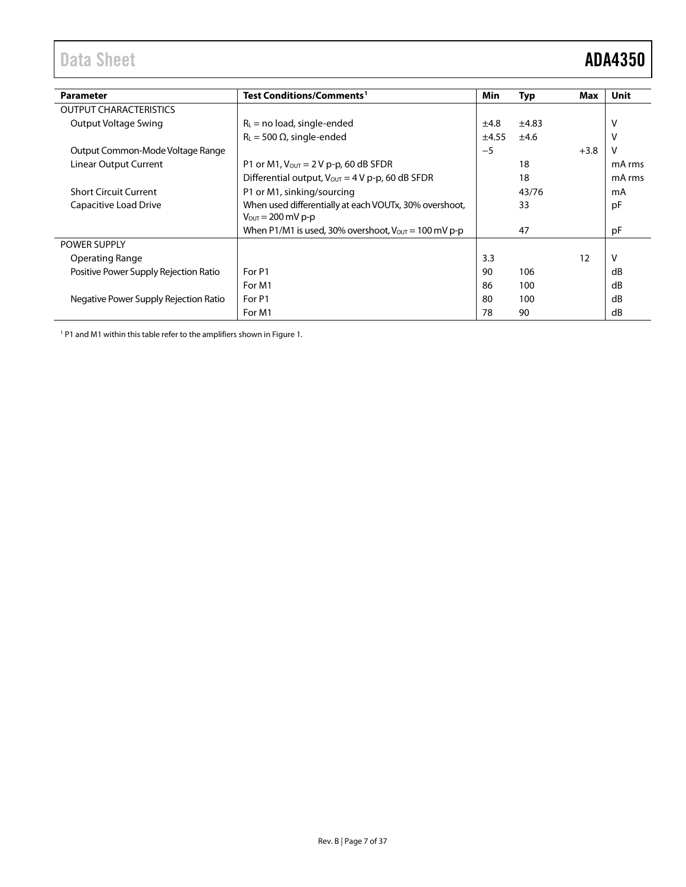# <span id="page-6-0"></span>Data Sheet **ADA4350**

| <b>Parameter</b>                      | Test Conditions/Comments <sup>1</sup>                                    | Min   | Typ   | <b>Max</b> | Unit   |
|---------------------------------------|--------------------------------------------------------------------------|-------|-------|------------|--------|
| <b>OUTPUT CHARACTERISTICS</b>         |                                                                          |       |       |            |        |
| Output Voltage Swing                  | $R_L$ = no load, single-ended                                            | ±4.8  | ±4.83 |            |        |
|                                       | $R_L$ = 500 $\Omega$ , single-ended                                      | ±4.55 | ±4.6  |            | ٧      |
| Output Common-Mode Voltage Range      |                                                                          | $-5$  |       | $+3.8$     | v      |
| Linear Output Current                 | P1 or M1, $V_{\text{OUT}} = 2 V p$ -p, 60 dB SFDR                        |       | 18    |            | mA rms |
|                                       | Differential output, $V_{\text{OUT}} = 4 V p-p$ , 60 dB SFDR             |       | 18    |            | mA rms |
| <b>Short Circuit Current</b>          | P1 or M1, sinking/sourcing                                               |       | 43/76 |            | mA     |
| Capacitive Load Drive                 | When used differentially at each VOUTx, 30% overshoot,                   |       | 33    |            | pF     |
|                                       | $V_{\text{OUT}} = 200 \text{ mV p-p}$                                    |       |       |            |        |
|                                       | When P1/M1 is used, 30% overshoot, $V_{\text{OUT}} = 100 \text{ mV p-p}$ |       | 47    |            | pF     |
| <b>POWER SUPPLY</b>                   |                                                                          |       |       |            |        |
| Operating Range                       |                                                                          | 3.3   |       | 12         | v      |
| Positive Power Supply Rejection Ratio | For P1                                                                   | 90    | 106   |            | dB     |
|                                       | For M1                                                                   | 86    | 100   |            | dB     |
| Negative Power Supply Rejection Ratio | For P1                                                                   | 80    | 100   |            | dB     |
|                                       | For M1                                                                   | 78    | 90    |            | dB     |

<sup>1</sup> P1 and M1 within this table refer to the amplifiers shown i[n Figure 1.](#page-0-4)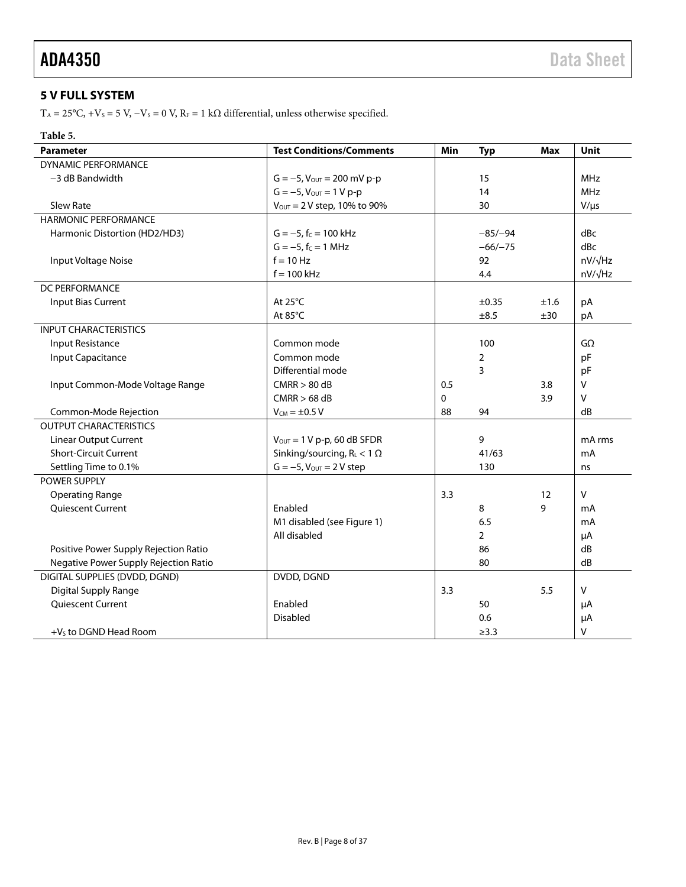### <span id="page-7-0"></span>**5 V FULL SYSTEM**

T<sub>A</sub> = 25°C, +V<sub>S</sub> = 5 V, -V<sub>S</sub> = 0 V, R<sub>F</sub> = 1 kΩ differential, unless otherwise specified.

### **Table 5.**

| <b>Parameter</b>                      | <b>Test Conditions/Comments</b>          | Min | <b>Typ</b>     | <b>Max</b> | Unit           |
|---------------------------------------|------------------------------------------|-----|----------------|------------|----------------|
| <b>DYNAMIC PERFORMANCE</b>            |                                          |     |                |            |                |
| -3 dB Bandwidth                       | $G = -5$ , $V_{\text{OUT}} = 200$ mV p-p |     | 15             |            | <b>MHz</b>     |
|                                       | $G = -5$ , $V_{\text{OUT}} = 1 V p-p$    |     | 14             |            | <b>MHz</b>     |
| <b>Slew Rate</b>                      | $V_{\text{OUT}} = 2 V$ step, 10% to 90%  |     | 30             |            | $V/\mu s$      |
| <b>HARMONIC PERFORMANCE</b>           |                                          |     |                |            |                |
| Harmonic Distortion (HD2/HD3)         | $G = -5$ , $f_C = 100$ kHz               |     | $-85/-94$      |            | dBc            |
|                                       | $G = -5$ , $f_C = 1$ MHz                 |     | $-66/-75$      |            | dBc            |
| Input Voltage Noise                   | $f = 10 Hz$                              |     | 92             |            | $nV/\sqrt{Hz}$ |
|                                       | $f = 100$ kHz                            |     | 4.4            |            | nV/√Hz         |
| DC PERFORMANCE                        |                                          |     |                |            |                |
| <b>Input Bias Current</b>             | At 25°C                                  |     | ±0.35          | ±1.6       | pA             |
|                                       | At 85°C                                  |     | ±8.5           | ±30        | pA             |
| <b>INPUT CHARACTERISTICS</b>          |                                          |     |                |            |                |
| Input Resistance                      | Common mode                              |     | 100            |            | $G\Omega$      |
| <b>Input Capacitance</b>              | Common mode                              |     | 2              |            | pF             |
|                                       | Differential mode                        |     | 3              |            | pF             |
| Input Common-Mode Voltage Range       | CMRR > 80 dB                             | 0.5 |                | 3.8        | V              |
|                                       | $CMRR > 68$ dB                           | 0   |                | 3.9        | v              |
| Common-Mode Rejection                 | $V_{CM} = \pm 0.5 V$                     | 88  | 94             |            | dB             |
| <b>OUTPUT CHARACTERISTICS</b>         |                                          |     |                |            |                |
| <b>Linear Output Current</b>          | $V_{\text{OUT}} = 1 V p-p$ , 60 dB SFDR  |     | 9              |            | mA rms         |
| <b>Short-Circuit Current</b>          | Sinking/sourcing, $R_L < 1 \Omega$       |     | 41/63          |            | mA             |
| Settling Time to 0.1%                 | $G = -5$ , $V_{OUT} = 2 V$ step          |     | 130            |            | ns             |
| POWER SUPPLY                          |                                          |     |                |            |                |
| <b>Operating Range</b>                |                                          | 3.3 |                | 12         | $\mathsf{V}$   |
| Quiescent Current                     | Enabled                                  |     | 8              | 9          | mA             |
|                                       | M1 disabled (see Figure 1)               |     | 6.5            |            | mA             |
|                                       | All disabled                             |     | $\overline{2}$ |            | μA             |
| Positive Power Supply Rejection Ratio |                                          |     | 86             |            | dB             |
| Negative Power Supply Rejection Ratio |                                          |     | 80             |            | dB             |
| DIGITAL SUPPLIES (DVDD, DGND)         | DVDD, DGND                               |     |                |            |                |
| Digital Supply Range                  |                                          | 3.3 |                | 5.5        | v              |
| Quiescent Current                     | Enabled                                  |     | 50             |            | μA             |
|                                       | <b>Disabled</b>                          |     | 0.6            |            | μA             |
| $+Vs$ to DGND Head Room               |                                          |     | $\geq$ 3.3     |            | v              |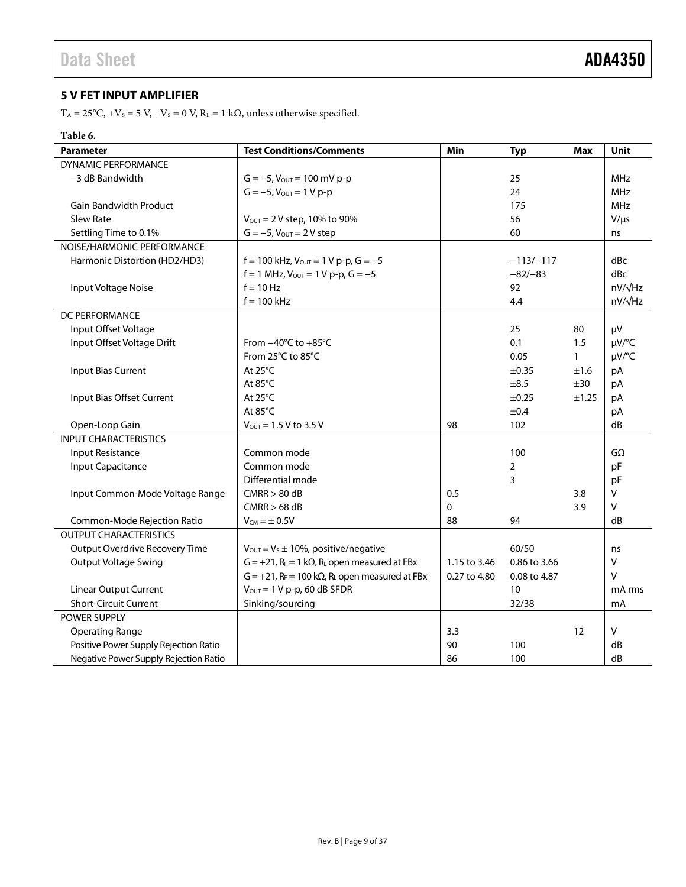### <span id="page-8-0"></span>**5 V FET INPUT AMPLIFIER**

T<sub>A</sub> = 25°C, +V<sub>S</sub> = 5 V, -V<sub>S</sub> = 0 V, R<sub>L</sub> = 1 k $\Omega$ , unless otherwise specified.

### **Table 6.**

| <b>Parameter</b>                      | <b>Test Conditions/Comments</b>                                                   | Min          | <b>Typ</b>     | <b>Max</b>   | Unit           |
|---------------------------------------|-----------------------------------------------------------------------------------|--------------|----------------|--------------|----------------|
| <b>DYNAMIC PERFORMANCE</b>            |                                                                                   |              |                |              |                |
| -3 dB Bandwidth                       | $G = -5$ , $V_{\text{OUT}} = 100$ mV p-p                                          |              | 25             |              | <b>MHz</b>     |
|                                       | $G = -5$ , $V_{\text{OUT}} = 1 V p-p$                                             |              | 24             |              | <b>MHz</b>     |
| <b>Gain Bandwidth Product</b>         |                                                                                   |              | 175            |              | <b>MHz</b>     |
| <b>Slew Rate</b>                      | $V_{\text{OUT}} = 2 V$ step, 10% to 90%                                           |              | 56             |              | $V/\mu s$      |
| Settling Time to 0.1%                 | $G = -5$ , $V_{OUT} = 2 V$ step                                                   |              | 60             |              | ns             |
| NOISE/HARMONIC PERFORMANCE            |                                                                                   |              |                |              |                |
| Harmonic Distortion (HD2/HD3)         | $f = 100$ kHz, $V_{\text{OUT}} = 1$ V p-p, $G = -5$                               |              | $-113/-117$    |              | dBc            |
|                                       | $f = 1$ MHz, $V_{OUT} = 1$ V p-p, $G = -5$                                        |              | $-82/-83$      |              | dBc            |
| Input Voltage Noise                   | $f = 10$ Hz                                                                       |              | 92             |              | $nV/\sqrt{Hz}$ |
|                                       | $f = 100$ kHz                                                                     |              | 4.4            |              | $nV/\sqrt{Hz}$ |
| DC PERFORMANCE                        |                                                                                   |              |                |              |                |
| Input Offset Voltage                  |                                                                                   |              | 25             | 80           | μV             |
| Input Offset Voltage Drift            | From $-40^{\circ}$ C to $+85^{\circ}$ C                                           |              | 0.1            | 1.5          | µV/°C          |
|                                       | From 25°C to 85°C                                                                 |              | 0.05           | $\mathbf{1}$ | µV/°C          |
| <b>Input Bias Current</b>             | At $25^{\circ}$ C                                                                 |              | $\pm 0.35$     | ±1.6         | pA             |
|                                       | At $85^{\circ}$ C                                                                 |              | $\pm 8.5$      | ±30          | pA             |
| Input Bias Offset Current             | At $25^{\circ}$ C                                                                 |              | ±0.25          | ±1.25        | pA             |
|                                       | At 85°C                                                                           |              | ±0.4           |              | pA             |
| Open-Loop Gain                        | $V_{\text{OUT}} = 1.5 V$ to 3.5 V                                                 | 98           | 102            |              | dB             |
| <b>INPUT CHARACTERISTICS</b>          |                                                                                   |              |                |              |                |
| Input Resistance                      | Common mode                                                                       |              | 100            |              | GΩ             |
| <b>Input Capacitance</b>              | Common mode                                                                       |              | $\overline{2}$ |              | pF             |
|                                       | Differential mode                                                                 |              | 3              |              | pF             |
| Input Common-Mode Voltage Range       | CMRR > 80 dB                                                                      | 0.5          |                | 3.8          | V              |
|                                       | $CMRR > 68$ dB                                                                    | 0            |                | 3.9          | V              |
| Common-Mode Rejection Ratio           | $V_{CM} = \pm 0.5V$                                                               | 88           | 94             |              | dB             |
| <b>OUTPUT CHARACTERISTICS</b>         |                                                                                   |              |                |              |                |
| <b>Output Overdrive Recovery Time</b> | $V_{\text{OUT}} = V_s \pm 10\%$ , positive/negative                               |              | 60/50          |              | ns             |
| <b>Output Voltage Swing</b>           | $G = +21$ , $R_F = 1 k\Omega$ , $R_L$ open measured at FBx                        | 1.15 to 3.46 | 0.86 to 3.66   |              | V              |
|                                       | $G = +21$ , R <sub>F</sub> = 100 k $\Omega$ , R <sub>L</sub> open measured at FBx | 0.27 to 4.80 | 0.08 to 4.87   |              | V              |
| <b>Linear Output Current</b>          | $V_{\text{OUT}} = 1 V p-p$ , 60 dB SFDR                                           |              | 10             |              | mA rms         |
| <b>Short-Circuit Current</b>          | Sinking/sourcing                                                                  |              | 32/38          |              | mA             |
| POWER SUPPLY                          |                                                                                   |              |                |              |                |
| <b>Operating Range</b>                |                                                                                   | 3.3          |                | 12           | V              |
| Positive Power Supply Rejection Ratio |                                                                                   | 90           | 100            |              | dB             |
| Negative Power Supply Rejection Ratio |                                                                                   | 86           | 100            |              | dB             |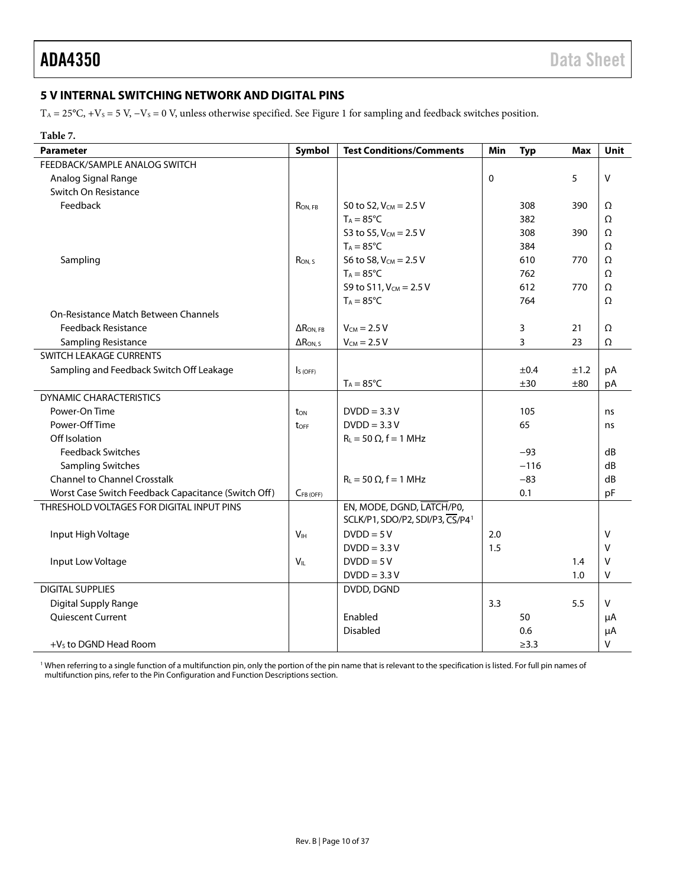### <span id="page-9-0"></span>**5 V INTERNAL SWITCHING NETWORK AND DIGITAL PINS**

 $T_A = 25$ °C, +Vs = 5 V, -Vs = 0 V, unless otherwise specified. See [Figure 1](#page-0-4) for sampling and feedback switches position.

| Table 7.                                            |                    |                                             |           |            |            |         |
|-----------------------------------------------------|--------------------|---------------------------------------------|-----------|------------|------------|---------|
| <b>Parameter</b>                                    | Symbol             | <b>Test Conditions/Comments</b>             | Min       | <b>Typ</b> | <b>Max</b> | Unit    |
| FEEDBACK/SAMPLE ANALOG SWITCH                       |                    |                                             |           |            |            |         |
| Analog Signal Range                                 |                    |                                             | $\pmb{0}$ |            | 5          | $\sf V$ |
| Switch On Resistance                                |                    |                                             |           |            |            |         |
| Feedback                                            | RON, FB            | S0 to S2, $V_{CM} = 2.5 V$                  |           | 308        | 390        | Ω       |
|                                                     |                    | $T_A = 85^{\circ}C$                         |           | 382        |            | Ω       |
|                                                     |                    | S3 to S5, $V_{CM} = 2.5 V$                  |           | 308        | 390        | Ω       |
|                                                     |                    | $T_A = 85^{\circ}C$                         |           | 384        |            | Ω       |
| Sampling                                            | Ron, s             | S6 to S8, $V_{CM} = 2.5 V$                  |           | 610        | 770        | Ω       |
|                                                     |                    | $T_A = 85^{\circ}C$                         |           | 762        |            | Ω       |
|                                                     |                    | S9 to S11, $V_{CM} = 2.5 V$                 |           | 612        | 770        | Ω       |
|                                                     |                    | $T_A = 85^{\circ}C$                         |           | 764        |            | Ω       |
| On-Resistance Match Between Channels                |                    |                                             |           |            |            |         |
| <b>Feedback Resistance</b>                          | $\Delta$ RON, FB   | $V_{CM}$ = 2.5 V                            |           | 3          | 21         | Ω       |
| Sampling Resistance                                 | $\Delta R_{ON, S}$ | $V_{CM}$ = 2.5 V                            |           | 3          | 23         | Ω       |
| SWITCH LEAKAGE CURRENTS                             |                    |                                             |           |            |            |         |
| Sampling and Feedback Switch Off Leakage            | $IS$ (OFF)         |                                             |           | ±0.4       | ±1.2       | pA      |
|                                                     |                    | $T_A = 85^{\circ}C$                         |           | ±30        | ±80        | pA      |
| <b>DYNAMIC CHARACTERISTICS</b>                      |                    |                                             |           |            |            |         |
| Power-On Time                                       | ton                | $DVDD = 3.3 V$                              |           | 105        |            | ns      |
| Power-Off Time                                      | toff               | $DVDD = 3.3 V$                              |           | 65         |            | ns      |
| Off Isolation                                       |                    | $R_L = 50 \Omega$ , f = 1 MHz               |           |            |            |         |
| <b>Feedback Switches</b>                            |                    |                                             |           | $-93$      |            | dB      |
| <b>Sampling Switches</b>                            |                    |                                             |           | $-116$     |            | dB      |
| <b>Channel to Channel Crosstalk</b>                 |                    | $R_L = 50 \Omega$ , f = 1 MHz               |           | $-83$      |            | dB      |
| Worst Case Switch Feedback Capacitance (Switch Off) | $C_{FB(OFF)}$      |                                             |           | 0.1        |            | pF      |
| THRESHOLD VOLTAGES FOR DIGITAL INPUT PINS           |                    | EN, MODE, DGND, LATCH/P0,                   |           |            |            |         |
|                                                     |                    | SCLK/P1, SDO/P2, SDI/P3, CS/P4 <sup>1</sup> |           |            |            |         |
| Input High Voltage                                  | V <sub>IH</sub>    | $DVDD = 5V$                                 | 2.0       |            |            | V       |
|                                                     |                    | $DVDD = 3.3 V$                              | 1.5       |            |            | V       |
| Input Low Voltage                                   | $V_{IL}$           | $DVDD = 5V$                                 |           |            | 1.4        | V       |
|                                                     |                    | $DVDD = 3.3 V$                              |           |            | 1.0        | V       |
| <b>DIGITAL SUPPLIES</b>                             |                    | DVDD, DGND                                  |           |            |            |         |
| Digital Supply Range                                |                    |                                             | 3.3       |            | 5.5        | V       |
| Quiescent Current                                   |                    | Enabled                                     |           | 50         |            | μA      |
|                                                     |                    | Disabled                                    |           | 0.6        |            | μA      |
| $+Vs$ to DGND Head Room                             |                    |                                             |           | $\geq$ 3.3 |            | v       |

<sup>1</sup> When referring to a single function of a multifunction pin, only the portion of the pin name that is relevant to the specification is listed. For full pin names of multifunction pins, refer to th[e Pin Configuration and Function Descriptions](#page-15-0) section.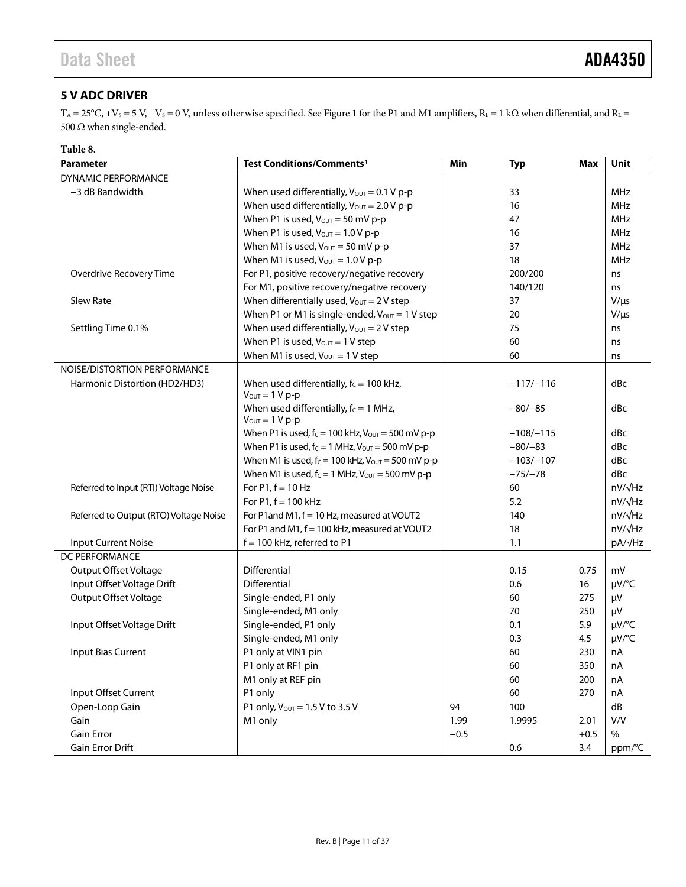### <span id="page-10-0"></span>**5 V ADC DRIVER**

T<sub>A</sub> = 25°C, +V<sub>S</sub> = 5 V, -V<sub>S</sub> = 0 V, unless otherwise specified. See [Figure 1](#page-0-4) for the P1 and M1 amplifiers, R<sub>L</sub> = 1 kΩ when differential, and R<sub>L</sub> = 500 Ω when single-ended.

| Table 8.                               |                                                                          |        |             |            |                |
|----------------------------------------|--------------------------------------------------------------------------|--------|-------------|------------|----------------|
| <b>Parameter</b>                       | Test Conditions/Comments <sup>1</sup>                                    | Min    | <b>Typ</b>  | <b>Max</b> | <b>Unit</b>    |
| DYNAMIC PERFORMANCE                    |                                                                          |        |             |            |                |
| -3 dB Bandwidth                        | When used differentially, $V_{\text{OUT}} = 0.1 V p-p$                   |        | 33          |            | <b>MHz</b>     |
|                                        | When used differentially, $V_{\text{OUT}} = 2.0 V p-p$                   |        | 16          |            | <b>MHz</b>     |
|                                        | When P1 is used, $V_{\text{OUT}} = 50$ mV p-p                            |        | 47          |            | <b>MHz</b>     |
|                                        | When P1 is used, $V_{\text{OUT}} = 1.0 V p-p$                            |        | 16          |            | <b>MHz</b>     |
|                                        | When M1 is used, $V_{\text{OUT}} = 50 \text{ mV p-p}$                    |        | 37          |            | <b>MHz</b>     |
|                                        | When M1 is used, $V_{\text{OUT}} = 1.0 V p-p$                            |        | 18          |            | <b>MHz</b>     |
| Overdrive Recovery Time                | For P1, positive recovery/negative recovery                              |        | 200/200     |            | ns             |
|                                        | For M1, positive recovery/negative recovery                              |        | 140/120     |            | ns             |
| Slew Rate                              | When differentially used, $V_{\text{OUT}} = 2 V$ step                    |        | 37          |            | $V/\mu s$      |
|                                        | When P1 or M1 is single-ended, $V_{\text{OUT}} = 1$ V step               |        | 20          |            | $V/\mu s$      |
| Settling Time 0.1%                     | When used differentially, $V_{\text{OUT}} = 2 V$ step                    |        | 75          |            | ns             |
|                                        | When P1 is used, $V_{\text{OUT}} = 1$ V step                             |        | 60          |            | ns             |
|                                        | When M1 is used, $V_{\text{OUT}} = 1$ V step                             |        | 60          |            | ns             |
| NOISE/DISTORTION PERFORMANCE           |                                                                          |        |             |            |                |
| Harmonic Distortion (HD2/HD3)          | When used differentially, $f_c = 100$ kHz,<br>$V_{\text{OUT}} = 1 V p-p$ |        | $-117/-116$ |            | dBc            |
|                                        | When used differentially, $f_c = 1$ MHz,                                 |        | $-80/-85$   |            | dBc            |
|                                        | $V_{\text{OUT}} = 1 V p-p$                                               |        |             |            |                |
|                                        | When P1 is used, $f_c = 100$ kHz, $V_{OUT} = 500$ mV p-p                 |        | $-108/-115$ |            | dBc            |
|                                        | When P1 is used, $f_c = 1$ MHz, $V_{\text{OUT}} = 500$ mV p-p            |        | $-80/-83$   |            | dBc            |
|                                        | When M1 is used, $f_c = 100$ kHz, $V_{OUT} = 500$ mV p-p                 |        | $-103/-107$ |            | dBc            |
|                                        | When M1 is used, $f_c = 1$ MHz, $V_{\text{OUT}} = 500$ mV p-p            |        | $-75/-78$   |            | dBc            |
| Referred to Input (RTI) Voltage Noise  | For $P1, f = 10$ Hz                                                      |        | 60          |            | $nV/\sqrt{Hz}$ |
|                                        | For $P1, f = 100$ kHz                                                    |        | 5.2         |            | $nV/\sqrt{Hz}$ |
| Referred to Output (RTO) Voltage Noise | For P1 and M1, f = 10 Hz, measured at VOUT2                              |        | 140         |            | $nV/\sqrt{Hz}$ |
|                                        | For P1 and M1, f = 100 kHz, measured at VOUT2                            |        | 18          |            | $nV/\sqrt{Hz}$ |
| <b>Input Current Noise</b>             | f = 100 kHz, referred to P1                                              |        | 1.1         |            | pA/√Hz         |
| DC PERFORMANCE                         |                                                                          |        |             |            |                |
| <b>Output Offset Voltage</b>           | Differential                                                             |        | 0.15        | 0.75       | mV             |
| Input Offset Voltage Drift             | <b>Differential</b>                                                      |        | 0.6         | 16         | µV/°C          |
| <b>Output Offset Voltage</b>           | Single-ended, P1 only                                                    |        | 60          | 275        | μV             |
|                                        | Single-ended, M1 only                                                    |        | 70          | 250        | μV             |
| Input Offset Voltage Drift             | Single-ended, P1 only                                                    |        | 0.1         | 5.9        | $\mu V$ /°C    |
|                                        | Single-ended, M1 only                                                    |        | 0.3         | 4.5        | µV/°C          |
| Input Bias Current                     | P1 only at VIN1 pin                                                      |        | 60          | 230        | nA             |
|                                        | P1 only at RF1 pin                                                       |        | 60          | 350        | nA             |
|                                        | M1 only at REF pin                                                       |        | 60          | 200        | nA             |
| Input Offset Current                   | P1 only                                                                  |        | 60          | 270        | nA             |
| Open-Loop Gain                         | P1 only, Vout = 1.5 V to 3.5 V                                           | 94     | 100         |            | ${\sf dB}$     |
| Gain                                   | M1 only                                                                  | 1.99   | 1.9995      | 2.01       | V/V            |
| Gain Error                             |                                                                          | $-0.5$ |             | $+0.5$     | $\%$           |
| Gain Error Drift                       |                                                                          |        | 0.6         | 3.4        | ppm/°C         |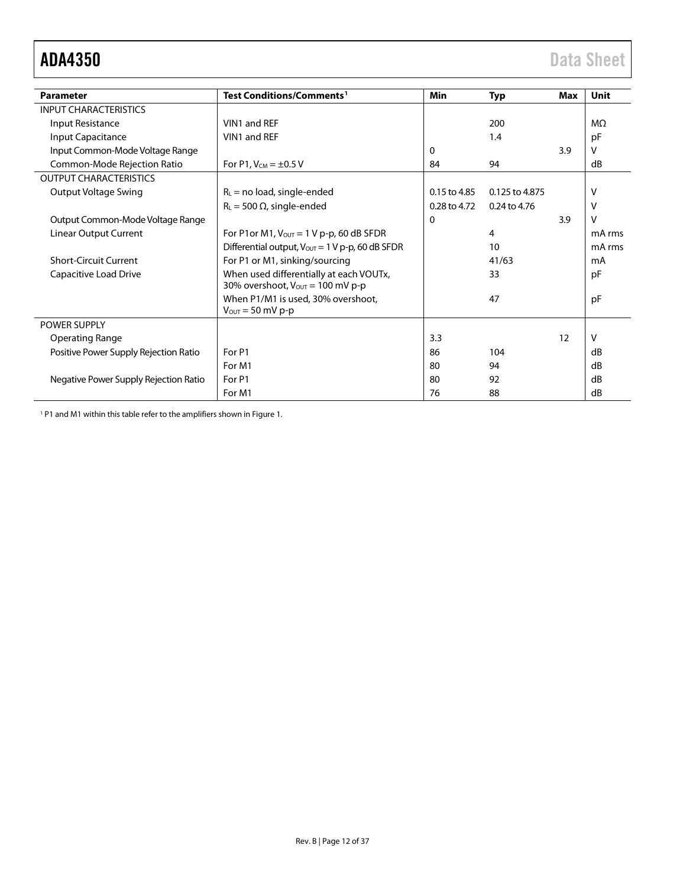<span id="page-11-0"></span>

| <b>Parameter</b>                      | Test Conditions/Comments <sup>1</sup>                                                           | <b>Min</b>   | <b>Typ</b>     | Max | <b>Unit</b>    |
|---------------------------------------|-------------------------------------------------------------------------------------------------|--------------|----------------|-----|----------------|
| <b>INPUT CHARACTERISTICS</b>          |                                                                                                 |              |                |     |                |
| Input Resistance                      | VIN1 and REF                                                                                    |              | 200            |     | M <sub>2</sub> |
| Input Capacitance                     | VIN1 and REF                                                                                    |              | 1.4            |     | pF             |
| Input Common-Mode Voltage Range       |                                                                                                 | $\Omega$     |                | 3.9 | v              |
| Common-Mode Rejection Ratio           | For P1, $V_{CM} = \pm 0.5 V$                                                                    | 84           | 94             |     | dB             |
| <b>OUTPUT CHARACTERISTICS</b>         |                                                                                                 |              |                |     |                |
| Output Voltage Swing                  | $R_L$ = no load, single-ended                                                                   | 0.15 to 4.85 | 0.125 to 4.875 |     | $\vee$         |
|                                       | $R_L$ = 500 $\Omega$ , single-ended                                                             | 0.28 to 4.72 | 0.24 to 4.76   |     | v              |
| Output Common-Mode Voltage Range      |                                                                                                 | $\Omega$     |                | 3.9 | $\vee$         |
| Linear Output Current                 | For P1or M1, $V_{OUT} = 1 V p-p$ , 60 dB SFDR                                                   |              | 4              |     | mA rms         |
|                                       | Differential output, $V_{\text{OUT}} = 1 \text{ V p-p}$ , 60 dB SFDR                            |              | 10             |     | mA rms         |
| <b>Short-Circuit Current</b>          | For P1 or M1, sinking/sourcing                                                                  |              | 41/63          |     | mA             |
| Capacitive Load Drive                 | When used differentially at each VOUTx,<br>30% overshoot, $V_{\text{OUT}} = 100 \text{ mV p-p}$ |              | 33             |     | pF             |
|                                       | When P1/M1 is used, 30% overshoot,<br>$V_{\text{OUT}} = 50 \text{ mV p-p}$                      |              | 47             |     | pF             |
| POWER SUPPLY                          |                                                                                                 |              |                |     |                |
| <b>Operating Range</b>                |                                                                                                 | 3.3          |                | 12  | V              |
| Positive Power Supply Rejection Ratio | For P1                                                                                          | 86           | 104            |     | dB             |
|                                       | For M1                                                                                          | 80           | 94             |     | dB             |
| Negative Power Supply Rejection Ratio | For P1                                                                                          | 80           | 92             |     | dB             |
|                                       | For M1                                                                                          | 76           | 88             |     | dB             |

<sup>1</sup> P1 and M1 within this table refer to the amplifiers shown i[n Figure 1.](#page-0-4)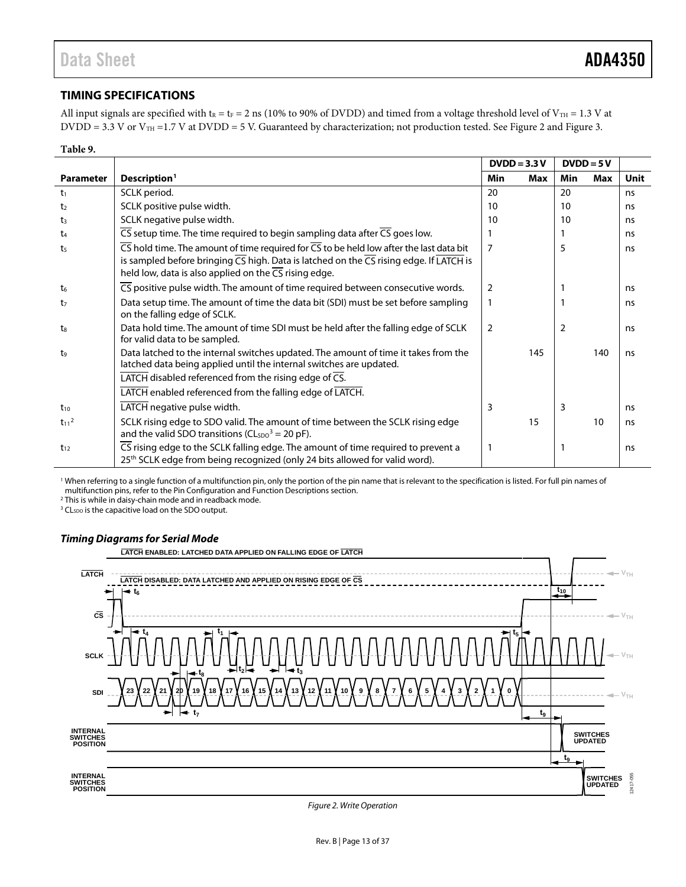### <span id="page-12-0"></span>**TIMING SPECIFICATIONS**

All input signals are specified with  $t_R = t_F = 2$  ns (10% to 90% of DVDD) and timed from a voltage threshold level of V<sub>TH</sub> = 1.3 V at DVDD = 3.3 V or  $V_{TH}$  = 1.7 V at DVDD = 5 V. Guaranteed by characterization; not production tested. Se[e Figure 2](#page-12-1) and [Figure 3.](#page-13-0)

#### **Table 9.**

|                       |                                                                                                                                                                                                                                       | $DVDD = 3.3 V$ |     | $DVDD = 5V$ |            |             |
|-----------------------|---------------------------------------------------------------------------------------------------------------------------------------------------------------------------------------------------------------------------------------|----------------|-----|-------------|------------|-------------|
| <b>Parameter</b>      | Description <sup>1</sup>                                                                                                                                                                                                              | Min            | Max | Min         | <b>Max</b> | <b>Unit</b> |
| t <sub>1</sub>        | SCLK period.                                                                                                                                                                                                                          | 20             |     | 20          |            | ns          |
| t <sub>2</sub>        | SCLK positive pulse width.                                                                                                                                                                                                            | 10             |     | 10          |            | ns          |
| t3                    | SCLK negative pulse width.                                                                                                                                                                                                            | 10             |     | 10          |            | ns          |
| t4                    | $\overline{CS}$ setup time. The time required to begin sampling data after $\overline{CS}$ goes low.                                                                                                                                  |                |     |             |            | ns          |
| t <sub>5</sub>        | $\overline{CS}$ hold time. The amount of time required for $\overline{CS}$ to be held low after the last data bit<br>is sampled before bringing $\overline{CS}$ high. Data is latched on the $\overline{CS}$ rising edge. If LATCH is | $\overline{7}$ |     | 5           |            | ns          |
|                       | held low, data is also applied on the $\overline{CS}$ rising edge.                                                                                                                                                                    |                |     |             |            |             |
| t <sub>6</sub>        | $\overline{\text{CS}}$ positive pulse width. The amount of time required between consecutive words.                                                                                                                                   | 2              |     |             |            | ns          |
| t7                    | Data setup time. The amount of time the data bit (SDI) must be set before sampling<br>on the falling edge of SCLK.                                                                                                                    | 1              |     |             |            | ns          |
| t <sub>8</sub>        | Data hold time. The amount of time SDI must be held after the falling edge of SCLK<br>for valid data to be sampled.                                                                                                                   | 2              |     | 2           |            | ns          |
| t <sub>9</sub>        | Data latched to the internal switches updated. The amount of time it takes from the<br>latched data being applied until the internal switches are updated.                                                                            |                | 145 |             | 140        | ns          |
|                       | $\overline{\text{LATCH}}$ disabled referenced from the rising edge of $\overline{\text{CS}}$ .                                                                                                                                        |                |     |             |            |             |
|                       | LATCH enabled referenced from the falling edge of LATCH.                                                                                                                                                                              |                |     |             |            |             |
| $t_{10}$              | LATCH negative pulse width.                                                                                                                                                                                                           | 3              |     | 3           |            | ns          |
| $t_{11}$ <sup>2</sup> | SCLK rising edge to SDO valid. The amount of time between the SCLK rising edge<br>and the valid SDO transitions ( $CLSDO3 = 20$ pF).                                                                                                  |                | 15  |             | 10         | ns          |
| $t_{12}$              | CS rising edge to the SCLK falling edge. The amount of time required to prevent a<br>25 <sup>th</sup> SCLK edge from being recognized (only 24 bits allowed for valid word).                                                          | 1              |     |             |            | ns          |

<sup>1</sup> When referring to a single function of a multifunction pin, only the portion of the pin name that is relevant to the specification is listed. For full pin names of multifunction pins, refer to th[e Pin Configuration and Function Descriptions](#page-15-0) section.

<sup>2</sup> This is while in daisy-chain mode and in readback mode.

<sup>3</sup> CL<sub>SDO</sub> is the capacitive load on the SDO output.

#### *Timing Diagrams for Serial Mode*



<span id="page-12-1"></span>*Figure 2. Write Operation*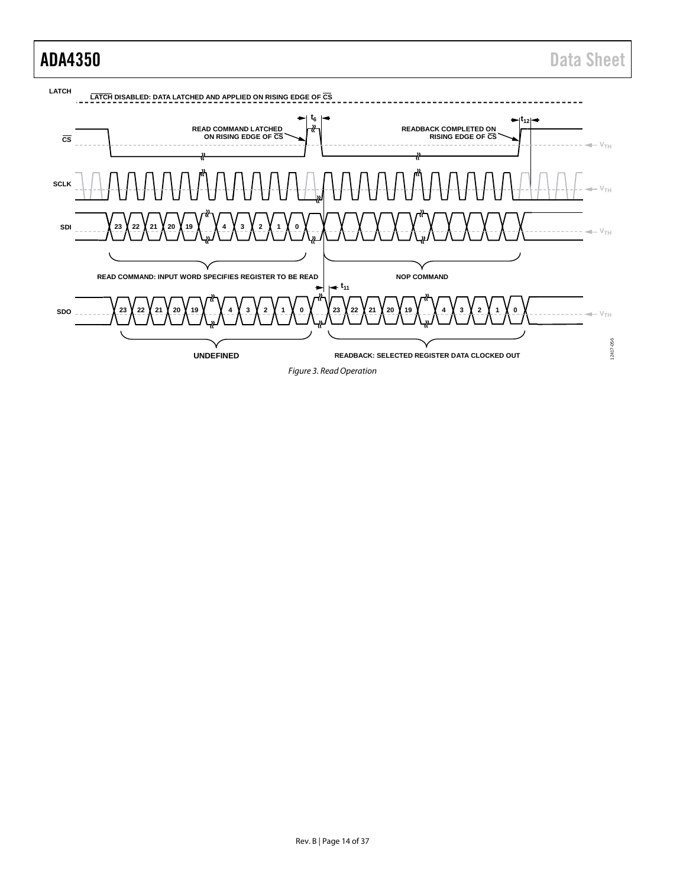<span id="page-13-0"></span>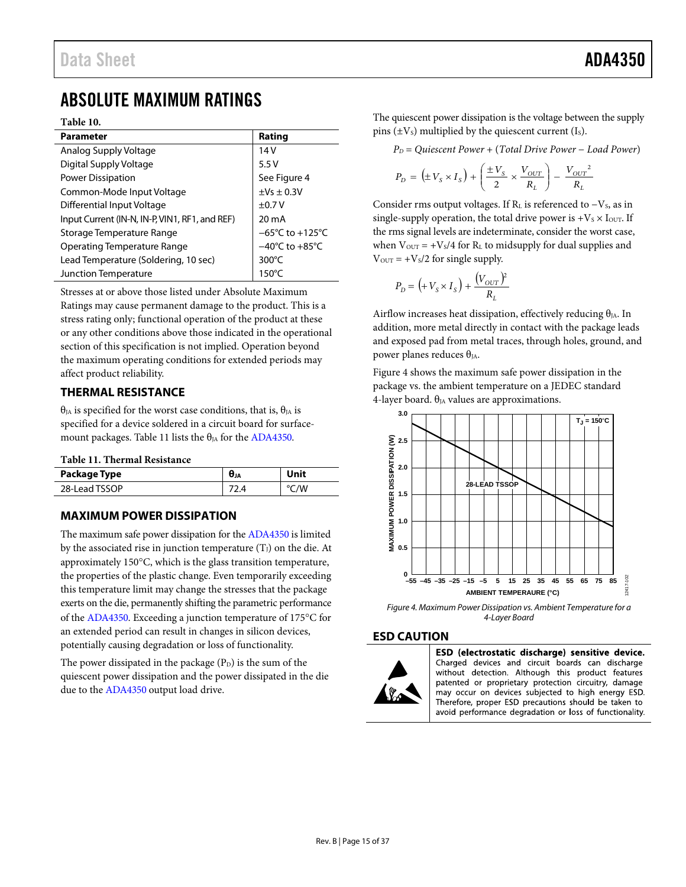## <span id="page-14-0"></span>ABSOLUTE MAXIMUM RATINGS

#### **Table 10.**

| <b>Parameter</b>                               | Rating                               |
|------------------------------------------------|--------------------------------------|
| Analog Supply Voltage                          | 14V                                  |
| Digital Supply Voltage                         | 5.5V                                 |
| <b>Power Dissipation</b>                       | See Figure 4                         |
| Common-Mode Input Voltage                      | $\pm$ Vs $\pm$ 0.3V                  |
| Differential Input Voltage                     | ±0.7V                                |
| Input Current (IN-N, IN-P, VIN1, RF1, and REF) | $20 \text{ mA}$                      |
| Storage Temperature Range                      | $-65^{\circ}$ C to +125 $^{\circ}$ C |
| Operating Temperature Range                    | $-40^{\circ}$ C to $+85^{\circ}$ C   |
| Lead Temperature (Soldering, 10 sec)           | 300 $\degree$ C                      |
| Junction Temperature                           | $150^{\circ}$ C                      |

Stresses at or above those listed under Absolute Maximum Ratings may cause permanent damage to the product. This is a stress rating only; functional operation of the product at these or any other conditions above those indicated in the operational section of this specification is not implied. Operation beyond the maximum operating conditions for extended periods may affect product reliability.

#### <span id="page-14-1"></span>**THERMAL RESISTANCE**

 $θ<sub>JA</sub>$  is specified for the worst case conditions, that is,  $θ<sub>JA</sub>$  is specified for a device soldered in a circuit board for surface-mount packages. [Table 11](#page-14-5) lists the  $\theta_{JA}$  for the [ADA4350.](http://www.analog.com/ADA4350?doc=ADA4350.PDF)

<span id="page-14-5"></span>**Table 11. Thermal Resistance**

| Package Type  | UJA | Unit |
|---------------|-----|------|
| 28-Lead TSSOP |     | /W   |

#### <span id="page-14-2"></span>**MAXIMUM POWER DISSIPATION**

The maximum safe power dissipation for th[e ADA4350](http://www.analog.com/ADA4350?doc=ADA4350.PDF) is limited by the associated rise in junction temperature  $(T_J)$  on the die. At approximately 150°C, which is the glass transition temperature, the properties of the plastic change. Even temporarily exceeding this temperature limit may change the stresses that the package exerts on the die, permanently shifting the parametric performance of the [ADA4350.](http://www.analog.com/ADA4350?doc=ADA4350.PDF) Exceeding a junction temperature of 175°C for an extended period can result in changes in silicon devices, potentially causing degradation or loss of functionality.

The power dissipated in the package  $(P_D)$  is the sum of the quiescent power dissipation and the power dissipated in the die due to the [ADA4350](http://www.analog.com/ADA4350?doc=ADA4350.PDF) output load drive.

The quiescent power dissipation is the voltage between the supply pins  $(\pm V_s)$  multiplied by the quiescent current (I<sub>s</sub>).

*PD* = *Quiescent Power* + (*Total Drive Power* − *Load Power*)

$$
P_D\,=\,\left(\pm\,V_S\times I_S\right) + \left(\frac{\pm\,V_S}{2}\times\frac{V_{OUT}}{R_L}\right) -\,\frac{\left.V_{OUT}\right.^2}{R_L}
$$

Consider rms output voltages. If  $R<sub>L</sub>$  is referenced to  $-V<sub>S</sub>$ , as in single-supply operation, the total drive power is  $+V_s \times I_{\text{OUT}}$ . If the rms signal levels are indeterminate, consider the worst case, when  $V_{\text{OUT}} = +V_s/4$  for  $R_L$  to midsupply for dual supplies and  $V_{\text{OUT}} = +V_{\text{S}}/2$  for single supply.

$$
P_D = \left( + V_S \times I_S \right) + \frac{\left( V_{OUT} \right)^2}{R_L}
$$

Airflow increases heat dissipation, effectively reducing  $\theta_{JA}$ . In addition, more metal directly in contact with the package leads and exposed pad from metal traces, through holes, ground, and power planes reduces  $θ$ <sub>IA</sub>.

[Figure 4](#page-14-4) shows the maximum safe power dissipation in the package vs. the ambient temperature on a JEDEC standard 4-layer board.  $\theta_{JA}$  values are approximations.



<span id="page-14-4"></span>*Figure 4. Maximum Power Dissipation vs. Ambient Temperature for a 4-Layer Board*

#### <span id="page-14-3"></span>**ESD CAUTION**



ESD (electrostatic discharge) sensitive device. Charged devices and circuit boards can discharge without detection. Although this product features patented or proprietary protection circuitry, damage may occur on devices subjected to high energy ESD. Therefore, proper ESD precautions should be taken to

avoid performance degradation or loss of functionality.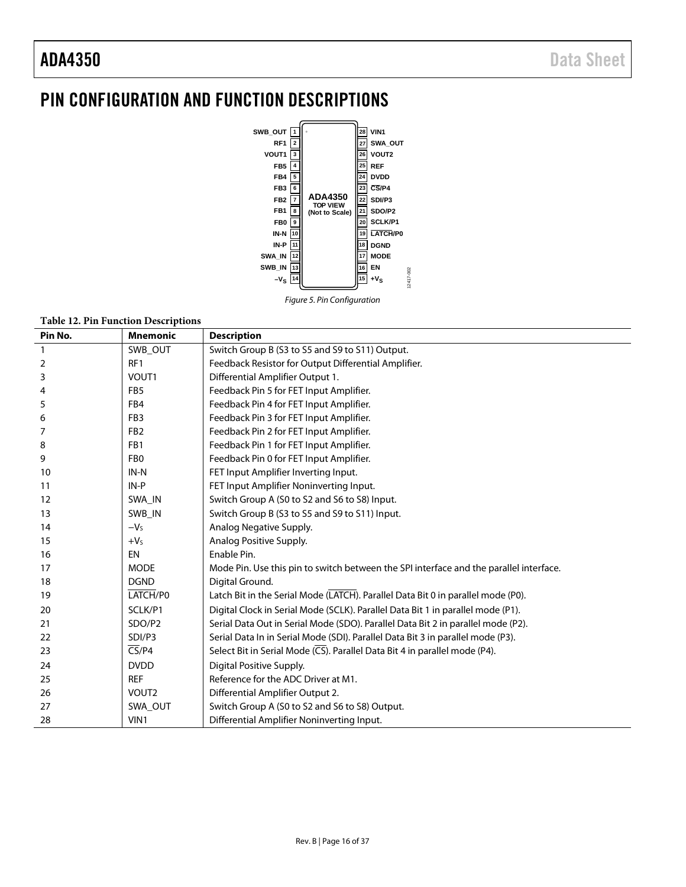## <span id="page-15-0"></span>PIN CONFIGURATION AND FUNCTION DESCRIPTIONS



*Figure 5. Pin Configuration*

#### **Table 12. Pin Function Descriptions**

| Pin No. | <b>Mnemonic</b>            | <b>Description</b>                                                                     |
|---------|----------------------------|----------------------------------------------------------------------------------------|
| 1       | SWB OUT                    | Switch Group B (S3 to S5 and S9 to S11) Output.                                        |
| 2       | RF1                        | Feedback Resistor for Output Differential Amplifier.                                   |
| 3       | VOUT1                      | Differential Amplifier Output 1.                                                       |
| 4       | FB <sub>5</sub>            | Feedback Pin 5 for FET Input Amplifier.                                                |
| 5       | FB4                        | Feedback Pin 4 for FET Input Amplifier.                                                |
| 6       | FB <sub>3</sub>            | Feedback Pin 3 for FET Input Amplifier.                                                |
| 7       | FB <sub>2</sub>            | Feedback Pin 2 for FET Input Amplifier.                                                |
| 8       | FB1                        | Feedback Pin 1 for FET Input Amplifier.                                                |
| 9       | FB <sub>0</sub>            | Feedback Pin 0 for FET Input Amplifier.                                                |
| 10      | IN-N                       | FET Input Amplifier Inverting Input.                                                   |
| 11      | $IN-P$                     | FET Input Amplifier Noninverting Input.                                                |
| 12      | SWA_IN                     | Switch Group A (S0 to S2 and S6 to S8) Input.                                          |
| 13      | SWB IN                     | Switch Group B (S3 to S5 and S9 to S11) Input.                                         |
| 14      | $-Vs$                      | Analog Negative Supply.                                                                |
| 15      | $+VS$                      | Analog Positive Supply.                                                                |
| 16      | <b>EN</b>                  | Enable Pin.                                                                            |
| 17      | <b>MODE</b>                | Mode Pin. Use this pin to switch between the SPI interface and the parallel interface. |
| 18      | <b>DGND</b>                | Digital Ground.                                                                        |
| 19      | LATCH/P0                   | Latch Bit in the Serial Mode (LATCH). Parallel Data Bit 0 in parallel mode (P0).       |
| 20      | SCLK/P1                    | Digital Clock in Serial Mode (SCLK). Parallel Data Bit 1 in parallel mode (P1).        |
| 21      | SDO/P2                     | Serial Data Out in Serial Mode (SDO). Parallel Data Bit 2 in parallel mode (P2).       |
| 22      | SDI/P3                     | Serial Data In in Serial Mode (SDI). Parallel Data Bit 3 in parallel mode (P3).        |
| 23      | $\overline{\text{CS}}$ /P4 | Select Bit in Serial Mode (CS). Parallel Data Bit 4 in parallel mode (P4).             |
| 24      | <b>DVDD</b>                | Digital Positive Supply.                                                               |
| 25      | <b>REF</b>                 | Reference for the ADC Driver at M1.                                                    |
| 26      | VOUT2                      | Differential Amplifier Output 2.                                                       |
| 27      | SWA OUT                    | Switch Group A (S0 to S2 and S6 to S8) Output.                                         |
| 28      | VIN1                       | Differential Amplifier Noninverting Input.                                             |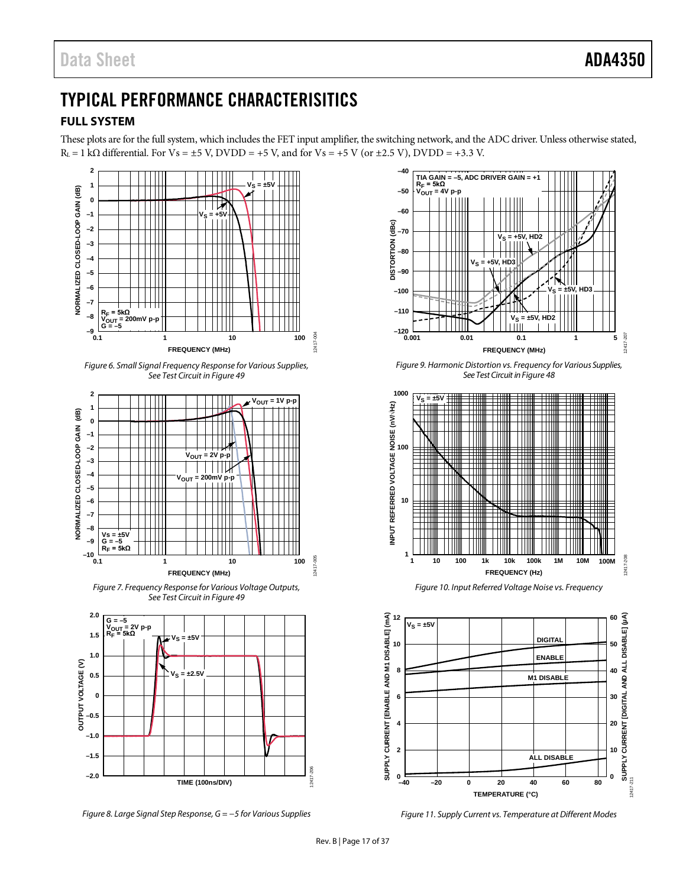## <span id="page-16-0"></span>TYPICAL PERFORMANCE CHARACTERISITICS

### <span id="page-16-1"></span>**FULL SYSTEM**

These plots are for the full system, which includes the FET input amplifier, the switching network, and the ADC driver. Unless otherwise stated,  $R<sub>L</sub> = 1$  k $\Omega$  differential. For Vs =  $\pm$ 5 V, DVDD = +5 V, and for Vs = +5 V (or  $\pm$ 2.5 V), DVDD = +3.3 V.



*Figure 8. Large Signal Step Response, G = −5 for Various Supplies* 



*Figure 9. Harmonic Distortion vs. Frequency for Various Supplies, See Test Circuit i[n Figure 48](#page-25-2)*



*Figure 10. Input Referred Voltage Noise vs. Frequency*



*Figure 11. Supply Current vs. Temperature at Different Modes*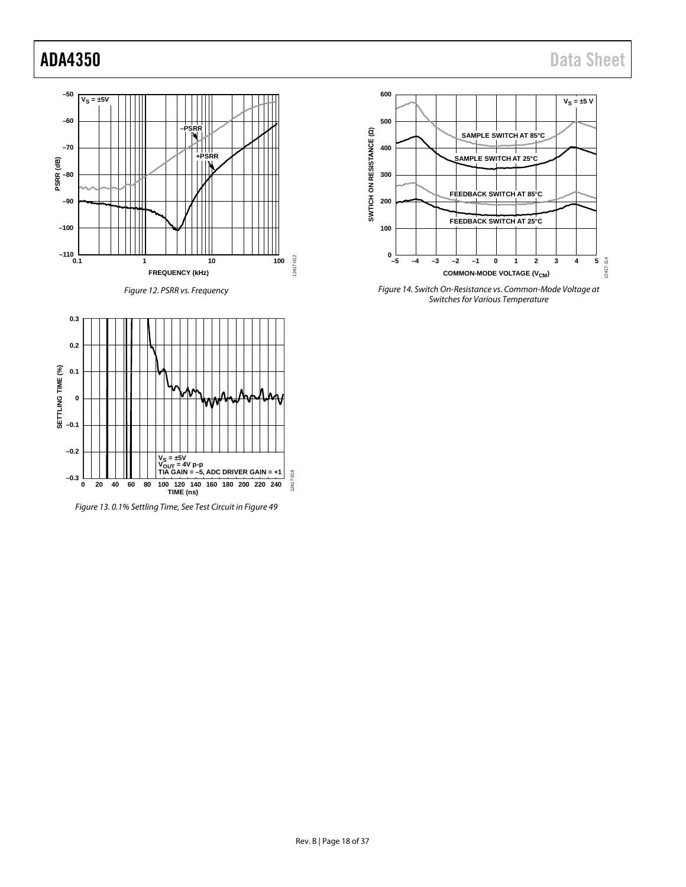**SETTLING TIME (%)**





*Figure 13. 0.1% Settling Time, See Test Circuit i[n Figure 49](#page-25-1)*



*Figure 14. Switch On-Resistance vs. Common-Mode Voltage at Switches for Various Temperature*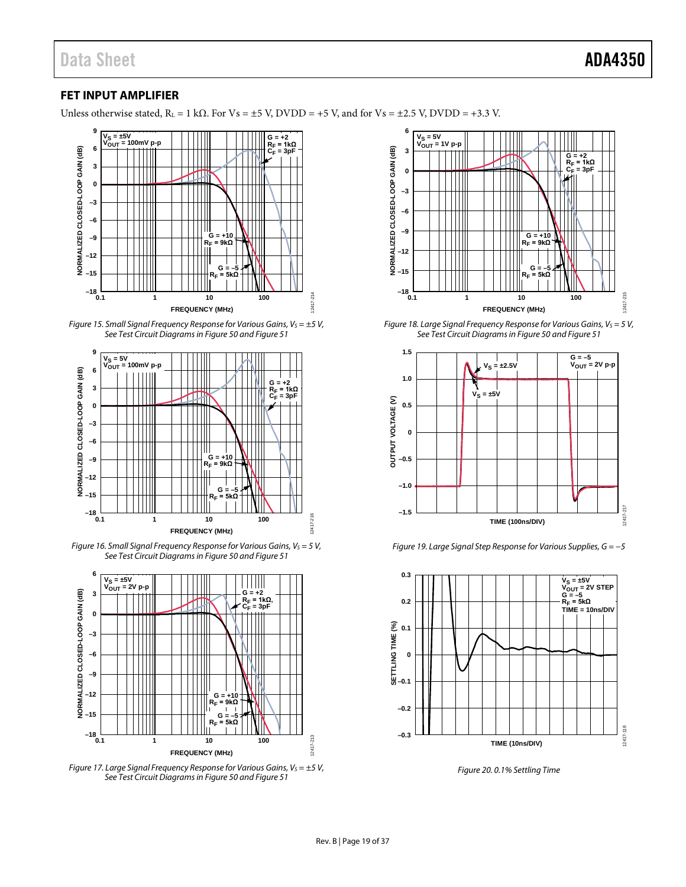### <span id="page-18-0"></span>**FET INPUT AMPLIFIER**

Unless otherwise stated,  $R_L = 1$  k $\Omega$ . For Vs = ±5 V, DVDD = +5 V, and for Vs = ±2.5 V, DVDD = +3.3 V.



*Figure 15. Small Signal Frequency Response for Various Gains, Vs* =  $\pm$ 5 *V*, *See Test Circuit Diagramsi[n Figure 50](#page-25-3) an[d Figure 51](#page-25-4)*



*Figure 16. Small Signal Frequency Response for Various Gains, VS = 5 V, See Test Circuit Diagramsin [Figure 50](#page-25-3) an[d Figure 51](#page-25-4)*







*Figure 18. Large Signal Frequency Response for Various Gains, V<sub>s</sub> = 5 V, See Test Circuit Diagramsi[n Figure 50](#page-25-3) an[d Figure 51](#page-25-4)*



*Figure 19. Large Signal Step Response for Various Supplies, G = −5*



*Figure 20. 0.1% Settling Time*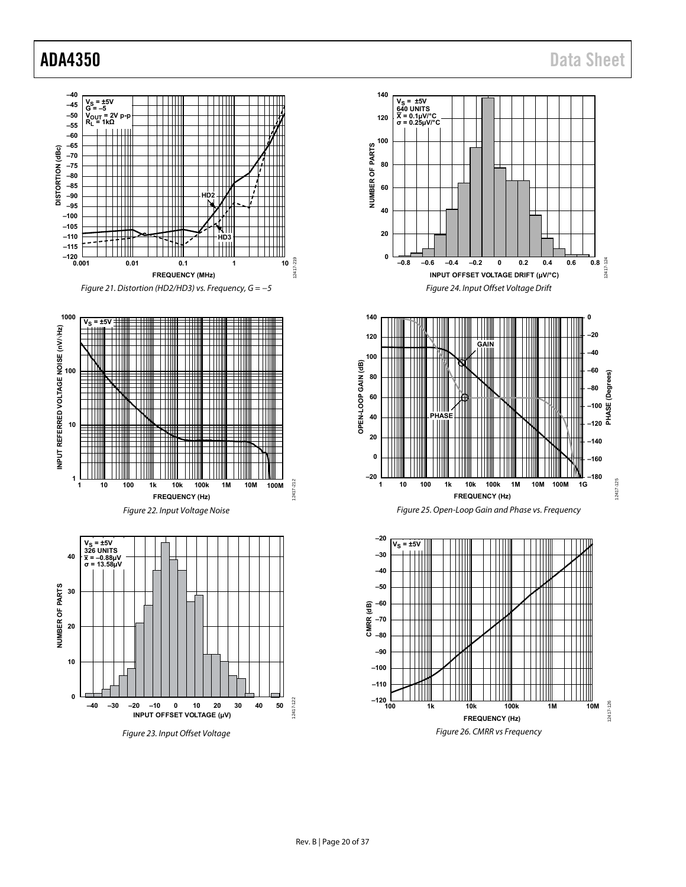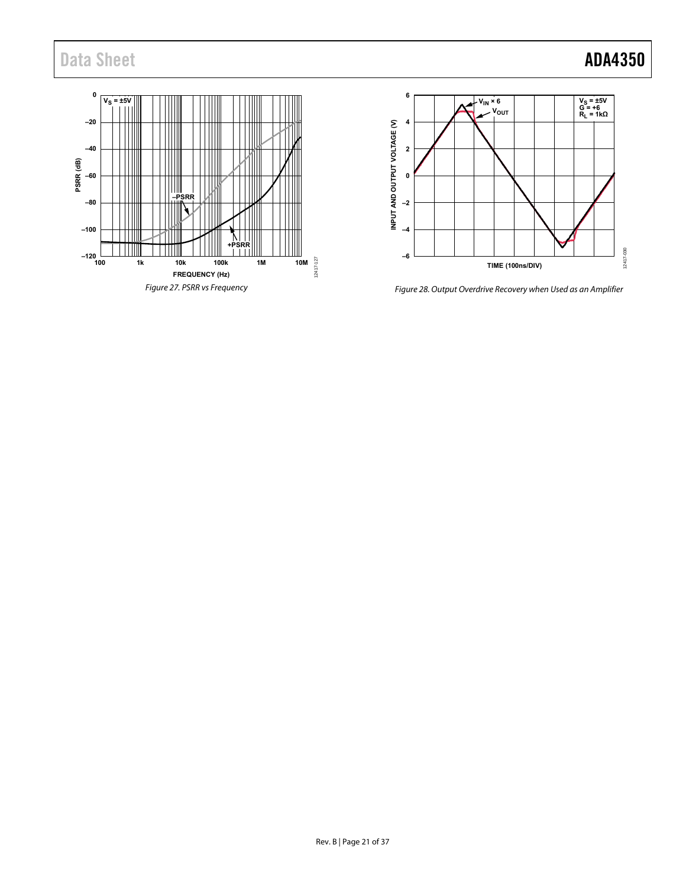## Data Sheet **ADA4350**





Figure 28. Output Overdrive Recovery when Used as an Amplifier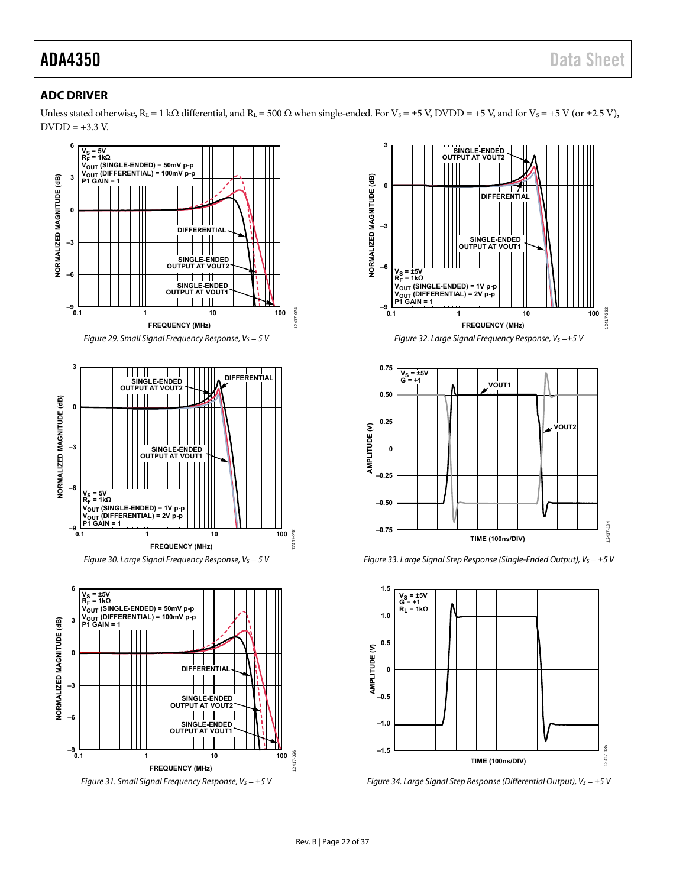### <span id="page-21-0"></span>**ADC DRIVER**

Unless stated otherwise, R<sub>L</sub> = 1 kΩ differential, and R<sub>L</sub> = 500 Ω when single-ended. For V<sub>S</sub> = ±5 V, DVDD = +5 V, and for V<sub>S</sub> = +5 V (or ±2.5 V),  $DVDD = +3.3 V.$ 



Figure 31. Small Signal Frequency Response,  $V_s = \pm 5$  V





Figure 33. Large Signal Step Response (Single-Ended Output),  $V_S = \pm 5$  V



Figure 34. Large Signal Step Response (Differential Output),  $V_S = \pm 5$  V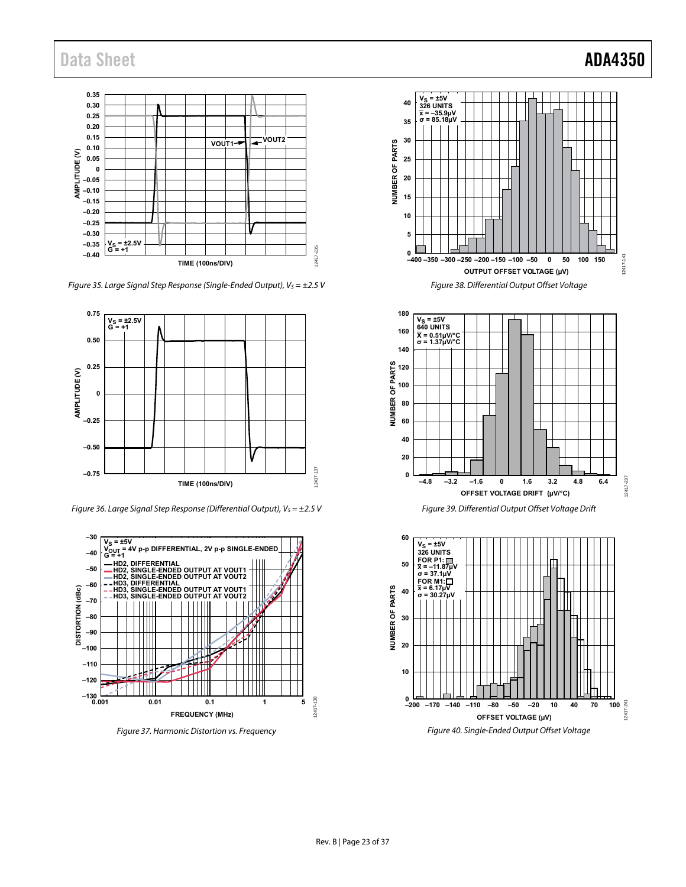## Data Sheet **ADA4350**



Figure 35. Large Signal Step Response (Single-Ended Output),  $V_s = \pm 2.5$  V



Figure 36. Large Signal Step Response (Differential Output),  $V_s = \pm 2.5$  V



Figure 37. Harmonic Distortion vs. Frequency





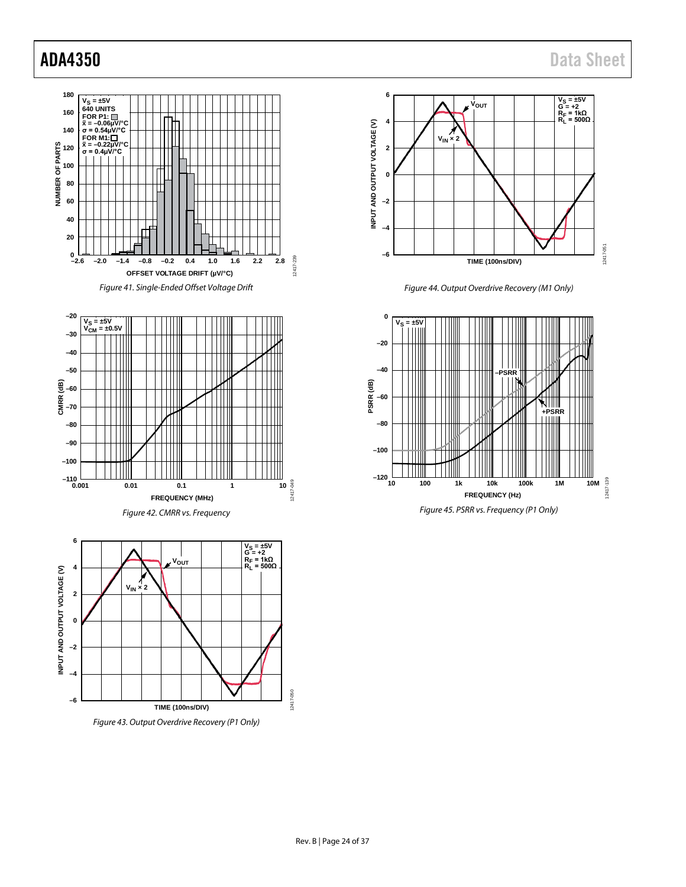







*Figure 44. Output Overdrive Recovery (M1 Only)*

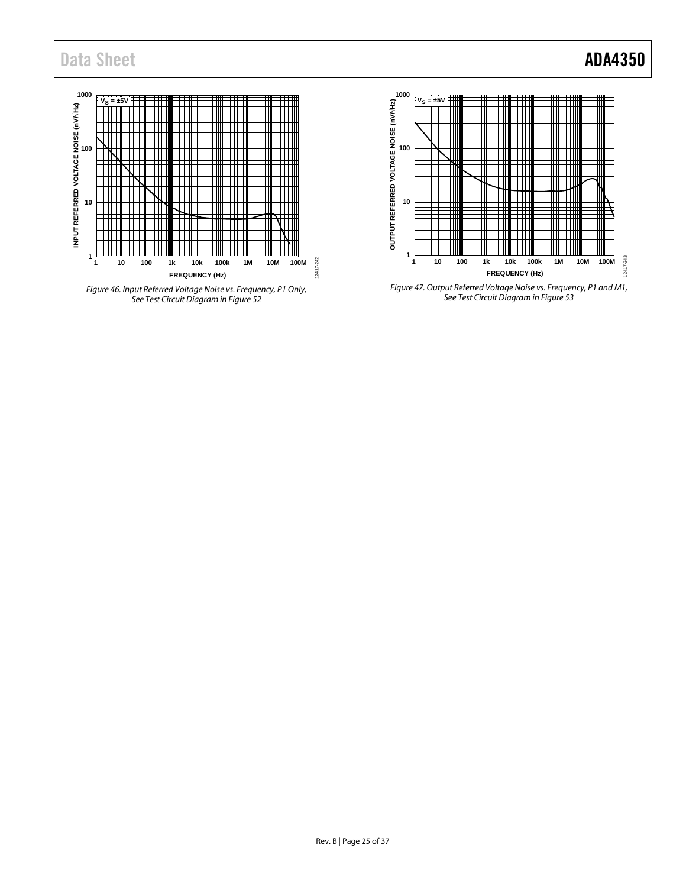## Data Sheet **ADA4350**







*Figure 47. Output Referred Voltage Noise vs. Frequency, P1 and M1, See Test Circuit Diagram i[n Figure 53](#page-25-6)*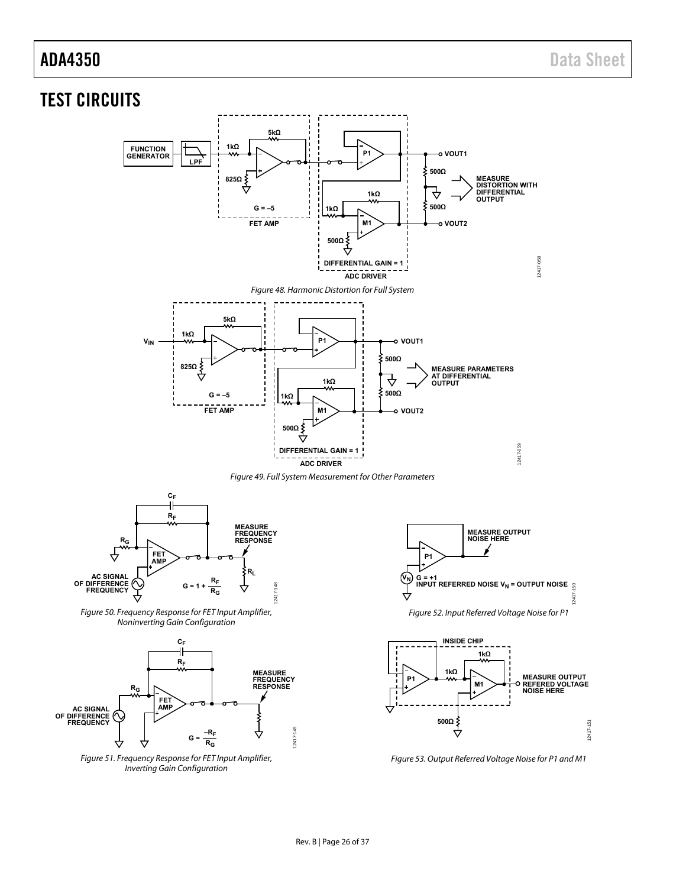## <span id="page-25-0"></span>TEST CIRCUITS

<span id="page-25-2"></span>

<span id="page-25-3"></span><span id="page-25-1"></span>

<span id="page-25-4"></span>Figure 51. Frequency Response for FET Input Amplifier, Inverting Gain Configuration

<span id="page-25-5"></span>

12417-150

 $12417$ 

<span id="page-25-6"></span>Figure 53. Output Referred Voltage Noise for P1 and M1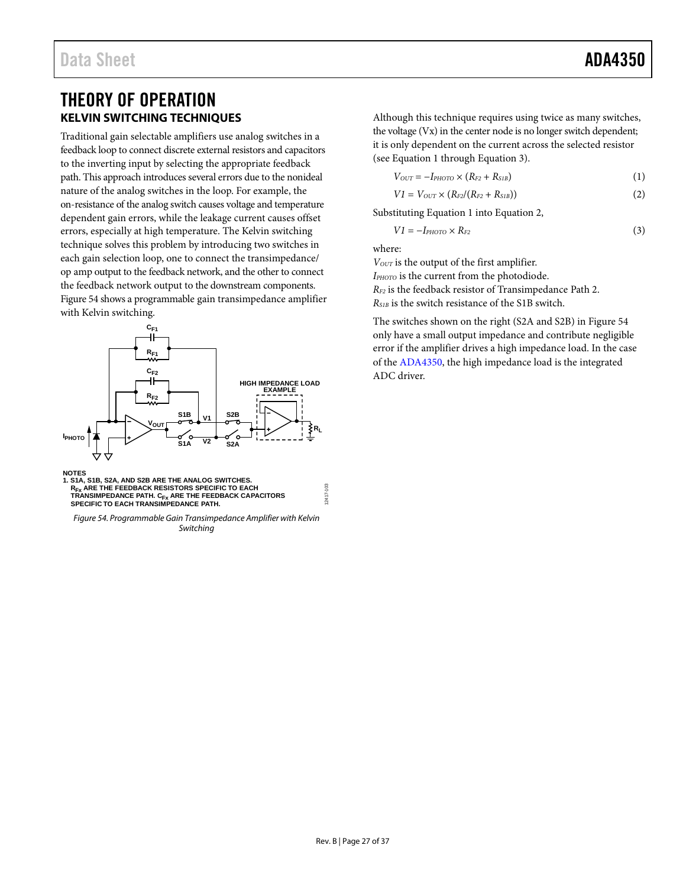## <span id="page-26-1"></span><span id="page-26-0"></span>THEORY OF OPERATION **KELVIN SWITCHING TECHNIQUES**

Traditional gain selectable amplifiers use analog switches in a feedback loop to connect discrete external resistors and capacitors to the inverting input by selecting the appropriate feedback path. This approach introduces several errors due to the nonideal nature of the analog switches in the loop. For example, the on-resistance of the analog switch causes voltage and temperature dependent gain errors, while the leakage current causes offset errors, especially at high temperature. The Kelvin switching technique solves this problem by introducing two switches in each gain selection loop, one to connect the transimpedance/ op amp output to the feedback network, and the other to connect the feedback network output to the downstream components. [Figure 54](#page-26-2) shows a programmable gain transimpedance amplifier with Kelvin switching.



**NOTES<br>1. S1A, S1B, S2A, AND S2B ARE THE ANALOG SWITCHES.<br>R<sub>FX</sub> ARE THE FEEDBACK RESISTORS SPECIFIC TO EACH<br>TRANSIMPEDANCE PATH. C<sub>FX</sub> ARE THE FEEDBACK CAPACITORS<br>SPECIFIC TO EACH TRANSIMPEDANCE PATH.** 

<span id="page-26-2"></span>*Figure 54. Programmable Gain Transimpedance Amplifier with Kelvin Switching*

Although this technique requires using twice as many switches, the voltage (Vx) in the center node is no longer switch dependent; it is only dependent on the current across the selected resistor (see Equation 1 through Equation 3).

$$
V_{OUT} = -I_{PHOTO} \times (R_{F2} + R_{SIB})
$$
\n<sup>(1)</sup>

$$
VI = V_{OUT} \times (R_{F2}/(R_{F2} + R_{SIB}))
$$
 (2)

Substituting Equation 1 into Equation 2,

$$
VI = -I_{PHOTO} \times R_{F2} \tag{3}
$$

where:

*V<sub>OUT</sub>* is the output of the first amplifier.

*IPHOTO* is the current from the photodiode. *RF2* is the feedback resistor of Transimpedance Path 2.

*RS1B* is the switch resistance of the S1B switch.

The switches shown on the right (S2A and S2B) i[n Figure 54](#page-26-2) only have a small output impedance and contribute negligible error if the amplifier drives a high impedance load. In the case of the [ADA4350,](http://www.analog.com/ADA4350?doc=ADA4350.PDF) the high impedance load is the integrated ADC driver.

12417-103

2417-103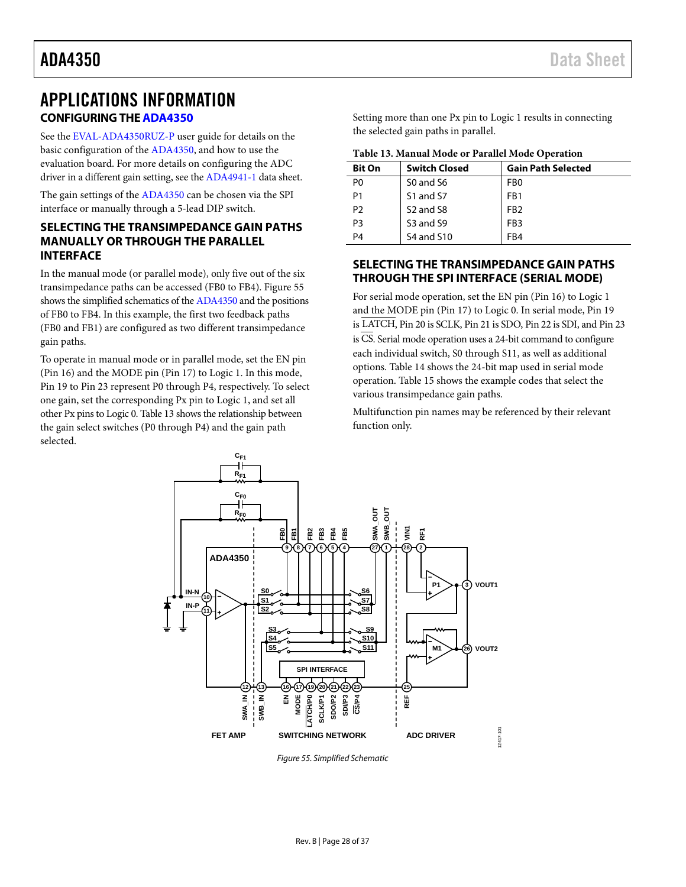## <span id="page-27-1"></span><span id="page-27-0"></span>APPLICATIONS INFORMATION **CONFIGURING TH[E ADA4350](http://www.analog.com/ADA4350?doc=ADA4350.PDF)**

See the [EVAL-ADA4350RUZ-P](http://www.analog.com/EVAL-ADA4350?doc=ADA4350.PDF) user guide for details on the basic configuration of the [ADA4350,](http://www.analog.com/ADA4350?doc=ADA4350.PDF) and how to use the evaluation board. For more details on configuring the ADC driver in a different gain setting, see the [ADA4941-1](http://www.analog.com/ADA4941-1?doc=ADA4350.pdf) data sheet.

The gain settings of th[e ADA4350](http://www.analog.com/ADA4350?doc=ADA4350.PDF) can be chosen via the SPI interface or manually through a 5-lead DIP switch.

#### <span id="page-27-2"></span>**SELECTING THE TRANSIMPEDANCE GAIN PATHS MANUALLY OR THROUGH THE PARALLEL INTERFACE**

In the manual mode (or parallel mode), only five out of the six transimpedance paths can be accessed (FB0 to FB4). [Figure 55](#page-27-4) shows the simplified schematics of th[e ADA4350](http://www.analog.com/ADA4350?doc=ADA4350.PDF) and the positions of FB0 to FB4. In this example, the first two feedback paths (FB0 and FB1) are configured as two different transimpedance gain paths.

To operate in manual mode or in parallel mode, set the EN pin (Pin 16) and the MODE pin (Pin 17) to Logic 1. In this mode, Pin 19 to Pin 23 represent P0 through P4, respectively. To select one gain, set the corresponding Px pin to Logic 1, and set all other Px pins to Logic 0. [Table 13](#page-27-5) shows the relationship between the gain select switches (P0 through P4) and the gain path selected.

Setting more than one Px pin to Logic 1 results in connecting the selected gain paths in parallel.

<span id="page-27-5"></span>

|  |  |  | Table 13. Manual Mode or Parallel Mode Operation |  |
|--|--|--|--------------------------------------------------|--|
|  |  |  |                                                  |  |

| <b>Bit On</b>  | <b>Switch Closed</b>              | <b>Gain Path Selected</b> |
|----------------|-----------------------------------|---------------------------|
| P <sub>0</sub> | S <sub>0</sub> and S <sub>6</sub> | FB <sub>0</sub>           |
| P <sub>1</sub> | S1 and S7                         | F <sub>R1</sub>           |
| P <sub>2</sub> | S <sub>2</sub> and S <sub>8</sub> | FR <sub>2</sub>           |
| P <sub>3</sub> | S <sub>3</sub> and S <sub>9</sub> | F <sub>R3</sub>           |
| P4             | <b>S4 and S10</b>                 | FB4                       |

#### <span id="page-27-3"></span>**SELECTING THE TRANSIMPEDANCE GAIN PATHS THROUGH THE SPI INTERFACE (SERIAL MODE)**

For serial mode operation, set the EN pin (Pin 16) to Logic 1 and the MODE pin (Pin 17) to Logic 0. In serial mode, Pin 19 is LATCH, Pin 20 is SCLK, Pin 21 is SDO, Pin 22 is SDI, and Pin 23 is CS. Serial mode operation uses a 24-bit command to configure each individual switch, S0 through S11, as well as additional options. [Table 14](#page-28-0) shows the 24-bit map used in serial mode operation. [Table 15](#page-28-1) shows the example codes that select the various transimpedance gain paths.

Multifunction pin names may be referenced by their relevant function only.



<span id="page-27-4"></span>*Figure 55. Simplified Schematic*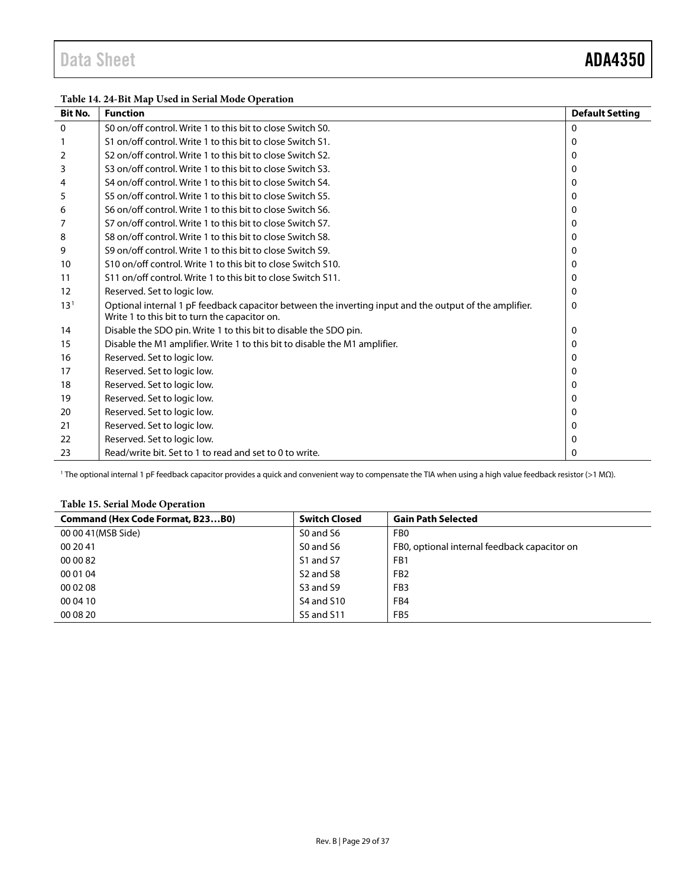<span id="page-28-0"></span>

| Table 14. 24-Bit Map Used in Serial Mode Operation |  |  |
|----------------------------------------------------|--|--|
|----------------------------------------------------|--|--|

| <b>Bit No.</b>  | <b>Function</b>                                                                                                                                         | <b>Default Setting</b> |
|-----------------|---------------------------------------------------------------------------------------------------------------------------------------------------------|------------------------|
| $\mathbf 0$     | S0 on/off control. Write 1 to this bit to close Switch S0.                                                                                              | $\Omega$               |
|                 | S1 on/off control. Write 1 to this bit to close Switch S1.                                                                                              | 0                      |
| 2               | S <sub>2</sub> on/off control. Write 1 to this bit to close Switch S <sub>2</sub> .                                                                     | 0                      |
| 3               | S3 on/off control. Write 1 to this bit to close Switch S3.                                                                                              | 0                      |
| 4               | S4 on/off control. Write 1 to this bit to close Switch S4.                                                                                              | 0                      |
| 5               | S5 on/off control. Write 1 to this bit to close Switch S5.                                                                                              | 0                      |
| 6               | S6 on/off control. Write 1 to this bit to close Switch S6.                                                                                              | 0                      |
|                 | S7 on/off control. Write 1 to this bit to close Switch S7.                                                                                              | 0                      |
| 8               | S8 on/off control. Write 1 to this bit to close Switch S8.                                                                                              | 0                      |
| 9               | S9 on/off control. Write 1 to this bit to close Switch S9.                                                                                              | 0                      |
| 10              | S10 on/off control. Write 1 to this bit to close Switch S10.                                                                                            | 0                      |
| 11              | S11 on/off control. Write 1 to this bit to close Switch S11.                                                                                            | 0                      |
| 12              | Reserved. Set to logic low.                                                                                                                             | 0                      |
| 13 <sup>1</sup> | Optional internal 1 pF feedback capacitor between the inverting input and the output of the amplifier.<br>Write 1 to this bit to turn the capacitor on. | 0                      |
| 14              | Disable the SDO pin. Write 1 to this bit to disable the SDO pin.                                                                                        | 0                      |
| 15              | Disable the M1 amplifier. Write 1 to this bit to disable the M1 amplifier.                                                                              | 0                      |
| 16              | Reserved. Set to logic low.                                                                                                                             | 0                      |
| 17              | Reserved. Set to logic low.                                                                                                                             | 0                      |
| 18              | Reserved. Set to logic low.                                                                                                                             | 0                      |
| 19              | Reserved. Set to logic low.                                                                                                                             | 0                      |
| 20              | Reserved. Set to logic low.                                                                                                                             | 0                      |
| 21              | Reserved. Set to logic low.                                                                                                                             | 0                      |
| 22              | Reserved. Set to logic low.                                                                                                                             | 0                      |
| 23              | Read/write bit. Set to 1 to read and set to 0 to write.                                                                                                 | 0                      |

<sup>1</sup> The optional internal 1 pF feedback capacitor provides a quick and convenient way to compensate the TIA when using a high value feedback resistor (>1 MΩ).

#### <span id="page-28-1"></span>**Table 15. Serial Mode Operation**

| <b>Command (Hex Code Format, B23B0)</b> | <b>Switch Closed</b>              | <b>Gain Path Selected</b>                    |
|-----------------------------------------|-----------------------------------|----------------------------------------------|
| 00 00 41 (MSB Side)                     | S0 and S6                         | FB <sub>0</sub>                              |
| 00 20 41                                | S0 and S6                         | FB0, optional internal feedback capacitor on |
| 00 00 82                                | S1 and S7                         | FB1                                          |
| 00 01 04                                | S <sub>2</sub> and S <sub>8</sub> | FB <sub>2</sub>                              |
| 00 02 08                                | S3 and S9                         | FB <sub>3</sub>                              |
| 00 04 10                                | S4 and S10                        | FB4                                          |
| 00 08 20                                | <b>S5 and S11</b>                 | FB <sub>5</sub>                              |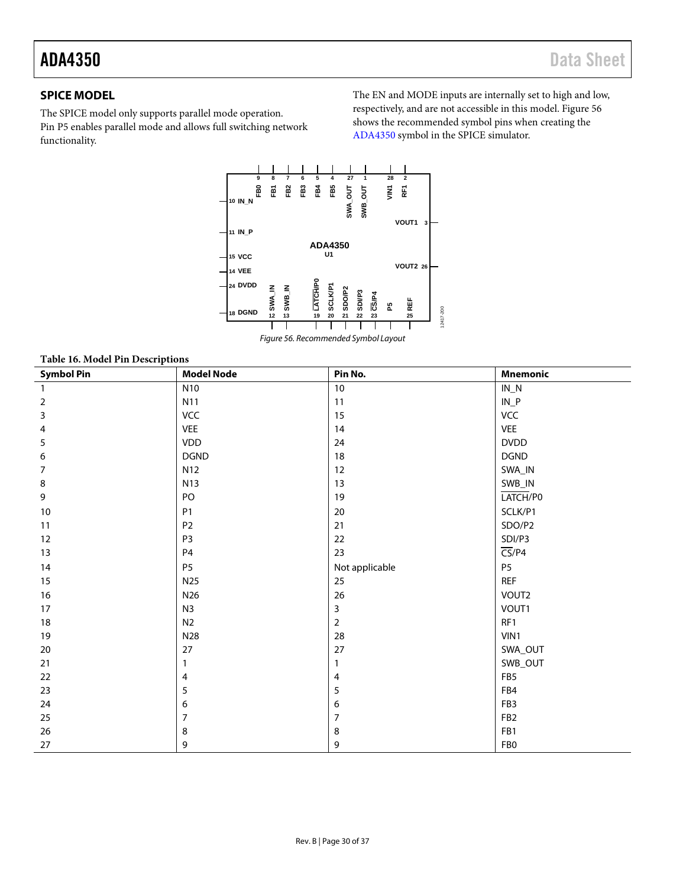### <span id="page-29-0"></span>**SPICE MODEL**

The SPICE model only supports parallel mode operation. Pin P5 enables parallel mode and allows full switching network functionality.

The EN and MODE inputs are internally set to high and low, respectively, and are not accessible in this model. [Figure 56](#page-29-1) shows the recommended symbol pins when creating the [ADA4350](http://www.analog.com/ADA4350?doc=ADA4350.PDF) symbol in the SPICE simulator.





| Table 16. Model Pin Descriptions |                   |                |                            |  |
|----------------------------------|-------------------|----------------|----------------------------|--|
| <b>Symbol Pin</b>                | <b>Model Node</b> | Pin No.        | <b>Mnemonic</b>            |  |
| $\overline{1}$                   | N10               | 10             | $IN_N$                     |  |
| $\mathbf 2$                      | N11               | 11             | $IN_P$                     |  |
| 3                                | VCC               | 15             | VCC                        |  |
| 4                                | <b>VEE</b>        | 14             | <b>VEE</b>                 |  |
| 5                                | <b>VDD</b>        | 24             | <b>DVDD</b>                |  |
| 6                                | <b>DGND</b>       | 18             | <b>DGND</b>                |  |
| $\overline{7}$                   | N12               | $12\,$         | SWA_IN                     |  |
| 8                                | <b>N13</b>        | 13             | SWB_IN                     |  |
| 9                                | PO                | 19             | LATCH/P0                   |  |
| 10                               | P <sub>1</sub>    | $20\,$         | SCLK/P1                    |  |
| 11                               | P <sub>2</sub>    | 21             | SDO/P2                     |  |
| 12                               | P <sub>3</sub>    | 22             | SDI/P3                     |  |
| 13                               | P <sub>4</sub>    | 23             | $\overline{\text{CS}}$ /P4 |  |
| 14                               | <b>P5</b>         | Not applicable | P <sub>5</sub>             |  |
| 15                               | N25               | 25             | <b>REF</b>                 |  |
| 16                               | N26               | 26             | VOUT2                      |  |
| 17                               | N3                | $\mathbf{3}$   | VOUT1                      |  |
| 18                               | N <sub>2</sub>    | $\overline{2}$ | RF1                        |  |
| 19                               | N28               | 28             | VIN1                       |  |
| 20                               | 27                | 27             | SWA_OUT                    |  |
| 21                               | $\mathbf{1}$      | $\mathbf{1}$   | SWB_OUT                    |  |
| 22                               | 4                 | $\overline{4}$ | FB5                        |  |
| 23                               | 5                 | 5              | FB4                        |  |
| 24                               | 6                 | 6              | FB <sub>3</sub>            |  |
| 25                               | $\overline{7}$    | $\overline{7}$ | FB <sub>2</sub>            |  |
| 26                               | 8                 | 8              | FB1                        |  |
| 27                               | 9                 | 9              | FB <sub>0</sub>            |  |

#### <span id="page-29-1"></span>**Table 16. Model Pin Descriptions**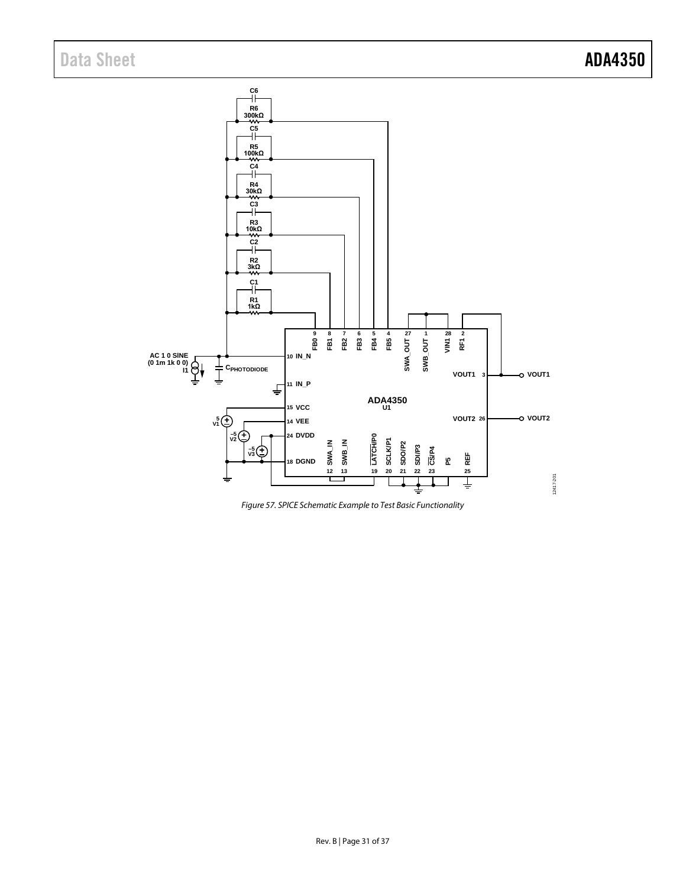

*Figure 57. SPICE Schematic Example to Test Basic Functionality*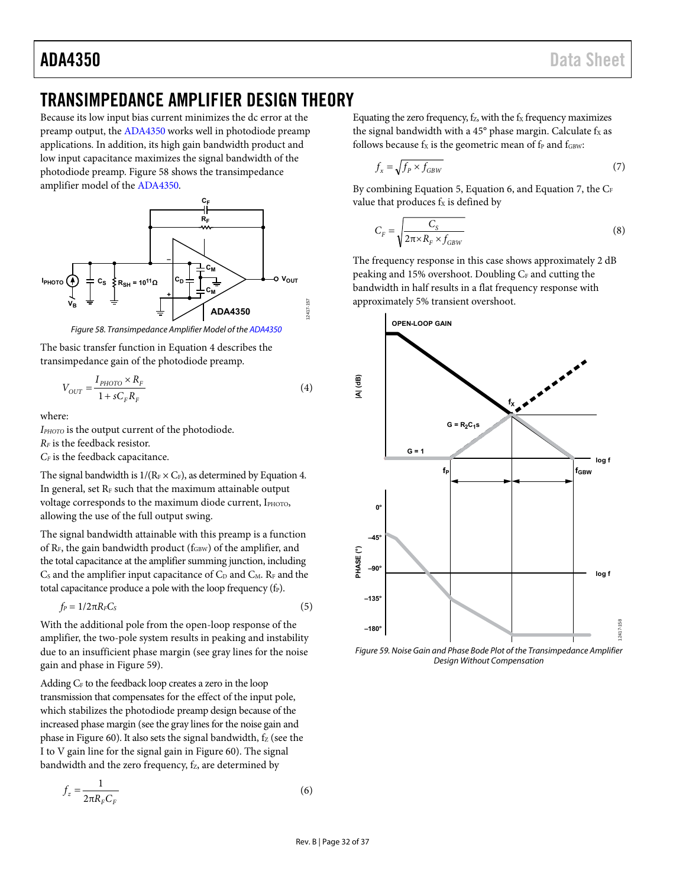## <span id="page-31-0"></span>TRANSIMPEDANCE AMPLIFIER DESIGN THEORY

Because its low input bias current minimizes the dc error at the preamp output, the [ADA4350 w](http://www.analog.com/ADA4350?doc=ADA4350.PDF)orks well in photodiode preamp applications. In addition, its high gain bandwidth product and low input capacitance maximizes the signal bandwidth of the photodiode preamp. [Figure 58](#page-31-1) shows the transimpedance amplifier model of the [ADA4350.](http://www.analog.com/ADA4350?doc=ADA4350.PDF) 



Figure 58. Transimpedance Amplifier Model of th[e ADA4350](http://www.analog.com/ADA4350?doc=ADA4350.PDF)

<span id="page-31-1"></span>The basic transfer function in Equation 4 describes the transimpedance gain of the photodiode preamp.

$$
V_{OUT} = \frac{I_{PHOTO} \times R_F}{1 + sC_F R_F}
$$
\n<sup>(4)</sup>

where:

*IPHOTO* is the output current of the photodiode.

*RF* is the feedback resistor.

*CF* is the feedback capacitance.

The signal bandwidth is  $1/(R_F \times C_F)$ , as determined by Equation 4. In general, set  $R_F$  such that the maximum attainable output voltage corresponds to the maximum diode current, IPHOTO, allowing the use of the full output swing.

The signal bandwidth attainable with this preamp is a function of  $R_F$ , the gain bandwidth product ( $f_{GBW}$ ) of the amplifier, and the total capacitance at the amplifier summing junction, including  $C<sub>S</sub>$  and the amplifier input capacitance of  $C<sub>D</sub>$  and  $C<sub>M</sub>$ . R<sub>F</sub> and the total capacitance produce a pole with the loop frequency  $(f_P)$ .

$$
f_P = 1/2\pi R_F C_S \tag{5}
$$

With the additional pole from the open-loop response of the amplifier, the two-pole system results in peaking and instability due to an insufficient phase margin (see gray lines for the noise gain and phase i[n Figure 59\)](#page-31-2).

Adding  $C_F$  to the feedback loop creates a zero in the loop transmission that compensates for the effect of the input pole, which stabilizes the photodiode preamp design because of the increased phase margin (see the gray lines for the noise gain and phase i[n Figure 60\)](#page-32-0). It also sets the signal bandwidth,  $f_Z$  (see the I to V gain line for the signal gain in [Figure 60\)](#page-32-0). The signal bandwidth and the zero frequency, f<sub>z</sub>, are determined by

$$
f_z = \frac{1}{2\pi R_F C_F} \tag{6}
$$

Equating the zero frequency,  $f_Z$ , with the  $f_X$  frequency maximizes the signal bandwidth with a 45 $\degree$  phase margin. Calculate  $f_x$  as follows because  $f_X$  is the geometric mean of  $f_P$  and  $f_{GBW}$ :

$$
f_x = \sqrt{f_P \times f_{GBW}}\tag{7}
$$

By combining Equation 5, Equation 6, and Equation 7, the  $C_F$ value that produces  $f_X$  is defined by

$$
C_F = \sqrt{\frac{C_S}{2\pi \times R_F \times f_{GBW}}}
$$
\n(8)

The frequency response in this case shows approximately 2 dB peaking and 15% overshoot. Doubling C<sub>F</sub> and cutting the bandwidth in half results in a flat frequency response with approximately 5% transient overshoot.



<span id="page-31-2"></span>Figure 59. Noise Gain and Phase Bode Plot of the Transimpedance Amplifier Design Without Compensation

12417-157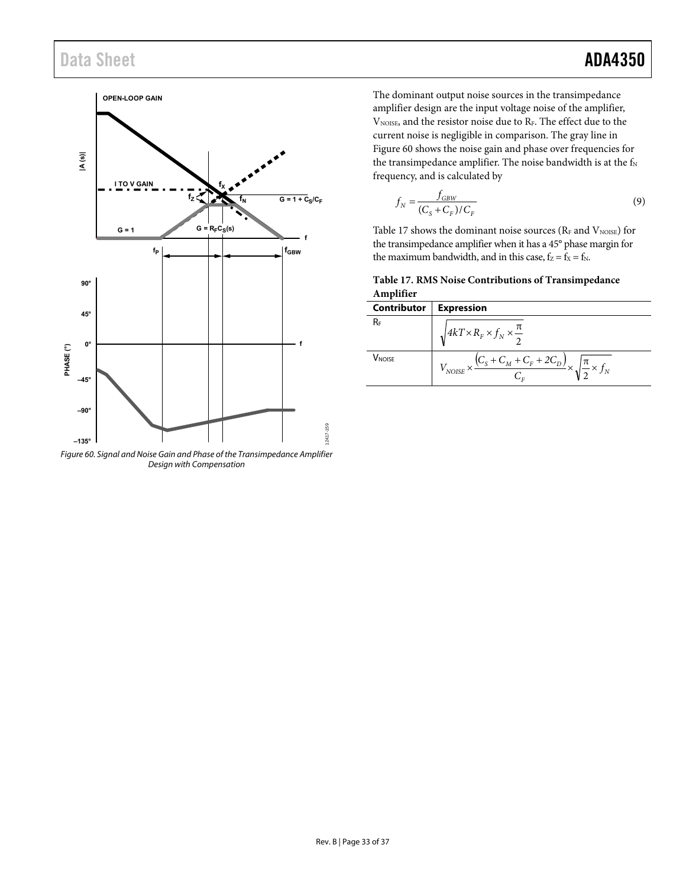## Data Sheet **ADA4350**



<span id="page-32-0"></span>Figure 60. Signal and Noise Gain and Phase of the Transimpedance Amplifier Design with Compensation

The dominant output noise sources in the transimpedance amplifier design are the input voltage noise of the amplifier,  $\rm V_{\rm NOISE}$  and the resistor noise due to RF. The effect due to the current noise is negligible in comparison. The gray line in [Figure 60 s](#page-32-0)hows the noise gain and phase over frequencies for the transimpedance amplifier. The noise bandwidth is at the  $\rm{f_{N}}$ frequency, and is calculated by

$$
f_N = \frac{f_{GBW}}{(C_s + C_F)/C_F}
$$
\n
$$
(9)
$$

[Table 17 s](#page-32-1)hows the dominant noise sources ( $R_F$  and  $V_{\text{NOISE}}$ ) for the transimpedance amplifier when it has a 45° phase margin for the maximum bandwidth, and in this case,  $f_Z = f_X = f_N$ .

<span id="page-32-1"></span>

| Table 17. RMS Noise Contributions of Transimpedance |
|-----------------------------------------------------|
| Amplifier                                           |

| Contributor        | <b>Expression</b>                                                                            |
|--------------------|----------------------------------------------------------------------------------------------|
| R⊧                 | $\sqrt{4kT \times R_F \times f_N \times \frac{\pi}{2}}$                                      |
| V <sub>NOISE</sub> | $V_{NOISE} \times \frac{(C_s + C_M + C_F + 2C_D)}{C} \times \sqrt{\frac{\pi}{2} \times f_N}$ |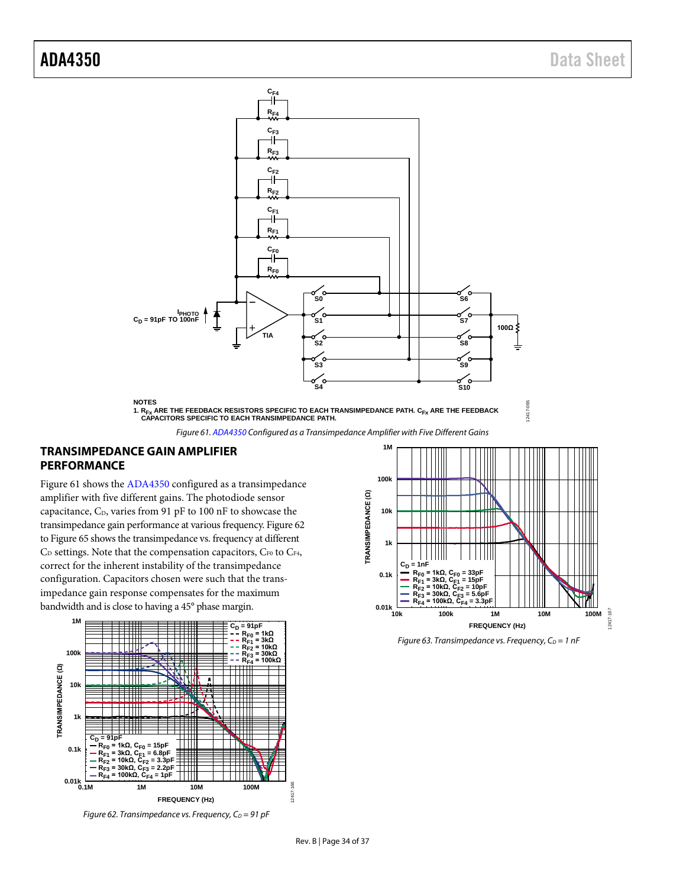



### <span id="page-33-1"></span><span id="page-33-0"></span>**TRANSIMPEDANCE GAIN AMPLIFIER PERFORMANCE**

[Figure 61](#page-33-1) shows th[e ADA4350](http://www.analog.com/ADA4350?doc=ADA4350.PDF) configured as a transimpedance amplifier with five different gains. The photodiode sensor capacitance,  $C_D$ , varies from 91 pF to 100 nF to showcase the transimpedance gain performance at various frequency[. Figure 62](#page-33-2) t[o Figure 65](#page-34-2) shows the transimpedance vs. frequency at different  $C_D$  settings. Note that the compensation capacitors,  $C_{F0}$  to  $C_{F4}$ , correct for the inherent instability of the transimpedance configuration. Capacitors chosen were such that the transimpedance gain response compensates for the maximum bandwidth and is close to having a 45° phase margin.



<span id="page-33-2"></span>*Figure 62. Transimpedance vs. Frequency, C<sub>D</sub> = 91 pF* 



*Figure 63. Transimpedance vs. Frequency, C<sub>D</sub> = 1 nF*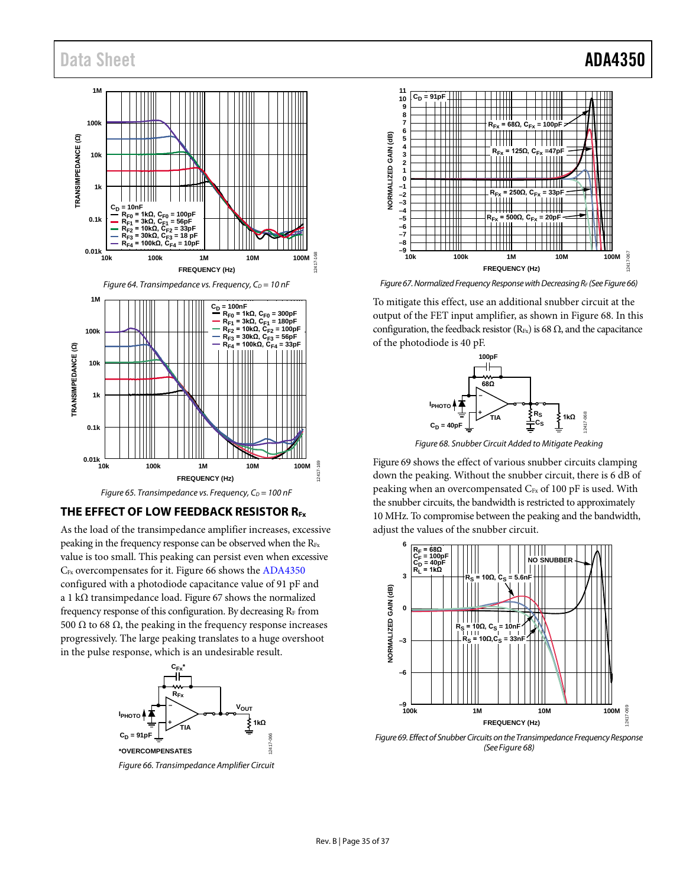## Data Sheet **ADA4350**







#### <span id="page-34-2"></span><span id="page-34-1"></span><span id="page-34-0"></span>**THE EFFECT OF LOW FEEDBACK RESISTOR RFx**

As the load of the transimpedance amplifier increases, excessive peaking in the frequency response can be observed when the  $R_{Fx}$ value is too small. This peaking can persist even when excessive C<sub>Fx</sub> overcompensates for it. [Figure 66](#page-34-3) shows th[e ADA4350](http://www.analog.com/ADA4350?doc=ADA4350.pdf) configured with a photodiode capacitance value of 91 pF and a 1 kΩ transimpedance load. [Figure 67](#page-34-4) shows the normalized frequency response of this configuration. By decreasing  $R<sub>F</sub>$  from 500  $\Omega$  to 68  $\Omega$ , the peaking in the frequency response increases progressively. The large peaking translates to a huge overshoot in the pulse response, which is an undesirable result.



<span id="page-34-3"></span>*Figure 66. Transimpedance Amplifier Circuit*



<span id="page-34-4"></span>*Figure 67. Normalized Frequency Response with Decreasing RF (Se[e Figure 66\)](#page-34-3)*

To mitigate this effect, use an additional snubber circuit at the output of the FET input amplifier, as shown in [Figure 68.](#page-34-5) In this configuration, the feedback resistor (R<sub>Fx</sub>) is 68  $\Omega$ , and the capacitance of the photodiode is 40 pF.



*Figure 68. Snubber Circuit Added to Mitigate Peaking* 

<span id="page-34-5"></span>[Figure 69](#page-34-6) shows the effect of various snubber circuits clamping down the peaking. Without the snubber circuit, there is 6 dB of peaking when an overcompensated  $C_{Fx}$  of 100 pF is used. With the snubber circuits, the bandwidth is restricted to approximately 10 MHz. To compromise between the peaking and the bandwidth, adjust the values of the snubber circuit.



<span id="page-34-6"></span>*Figure 69. Effect of Snubber Circuits on the Transimpedance Frequency Response (Se[e Figure 68\)](#page-34-5)*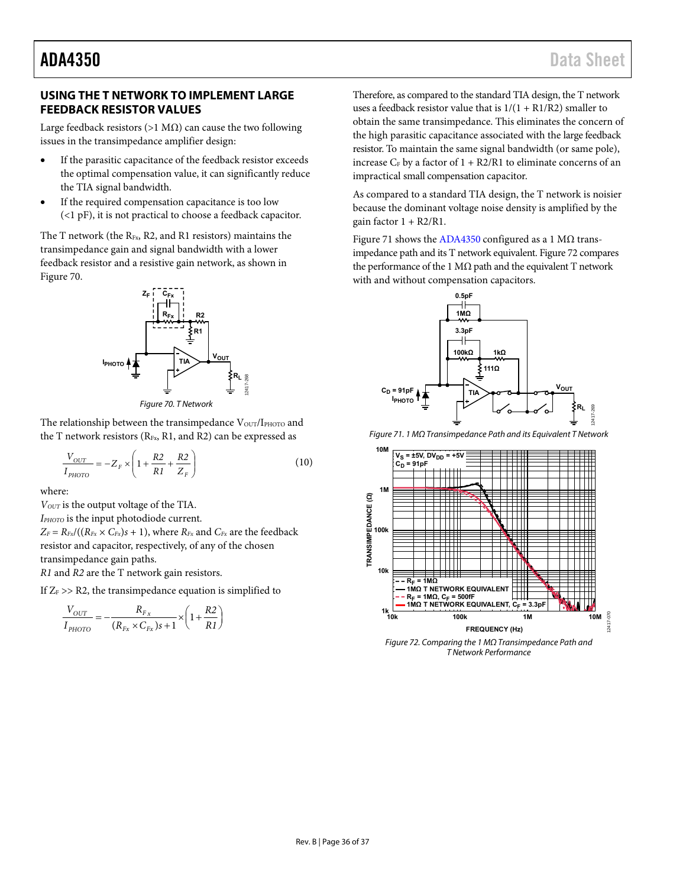#### <span id="page-35-0"></span>**USING THE T NETWORK TO IMPLEMENT LARGE FEEDBACK RESISTOR VALUES**

Large feedback resistors (>1 M $\Omega$ ) can cause the two following issues in the transimpedance amplifier design:

- If the parasitic capacitance of the feedback resistor exceeds the optimal compensation value, it can significantly reduce the TIA signal bandwidth.
- If the required compensation capacitance is too low (<1 pF), it is not practical to choose a feedback capacitor.

The T network (the  $R_{Fx}$ , R2, and R1 resistors) maintains the transimpedance gain and signal bandwidth with a lower feedback resistor and a resistive gain network, as shown in [Figure 70.](#page-35-1) 



Figure 70. T Network

<span id="page-35-1"></span>The relationship between the transimpedance  $V_{\text{OUT}}/I_{\text{PHOTO}}$  and the T network resistors ( $R_{Fx}$ , R1, and R2) can be expressed as

$$
\frac{V_{OUT}}{I_{PHOTO}} = -Z_F \times \left(1 + \frac{R2}{R1} + \frac{R2}{Z_F}\right)
$$
\n(10)

where:

*VOUT* is the output voltage of the TIA. *IPHOTO* is the input photodiode current.  $Z_F = R_{Fx}/((R_{Fx} \times C_{Fx})s + 1)$ , where  $R_{Fx}$  and  $C_{Fx}$  are the feedback resistor and capacitor, respectively, of any of the chosen transimpedance gain paths. *R1* and *R2* are the T network gain resistors.

If  $Z_F$  >> R2, the transimpedance equation is simplified to

$$
\frac{V_{OUT}}{I_{PHOTO}} = -\frac{R_{F_x}}{(R_{F_x} \times C_{F_x})s + 1} \times \left(1 + \frac{R2}{R1}\right)
$$

Therefore, as compared to the standard TIA design, the T network uses a feedback resistor value that is  $1/(1 + R1/R2)$  smaller to obtain the same transimpedance. This eliminates the concern of the high parasitic capacitance associated with the large feedback resistor. To maintain the same signal bandwidth (or same pole), increase  $C_F$  by a factor of  $1 + R2/R1$  to eliminate concerns of an impractical small compensation capacitor.

As compared to a standard TIA design, the T network is noisier because the dominant voltage noise density is amplified by the gain factor  $1 + R2/R1$ .

[Figure 71 s](#page-35-2)hows th[e ADA4350](http://www.analog.com/ADA4350?doc=ADA4350.pdf) configured as a 1 M $\Omega$  transimpedance path and its T network equivalent[. Figure 72 c](#page-35-3)ompares the performance of the 1 M $\Omega$  path and the equivalent T network with and without compensation capacitors.



<span id="page-35-2"></span>Figure 71. 1 MΩ Transimpedance Path and its Equivalent T Network



<span id="page-35-3"></span>Figure 72. Comparing the 1 MΩ Transimpedance Path and T Network Performance